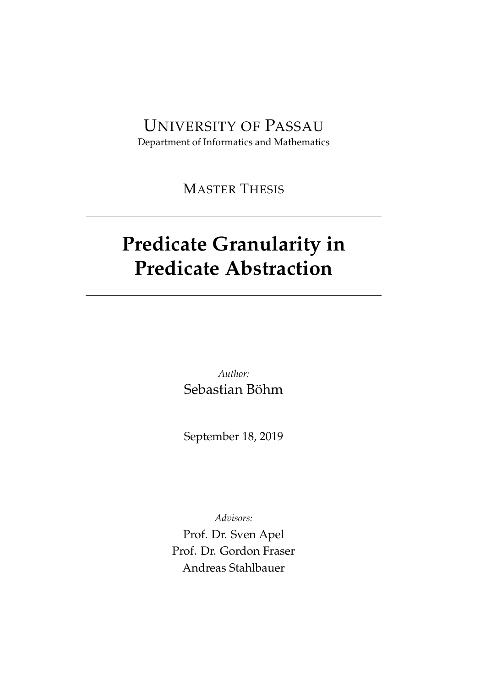# UNIVERSITY OF PASSAU

Department of Informatics and Mathematics

MASTER THESIS

# **Predicate Granularity in Predicate Abstraction**

*Author:* Sebastian Böhm

September 18, 2019

*Advisors:*

Prof. Dr. Sven Apel Prof. Dr. Gordon Fraser Andreas Stahlbauer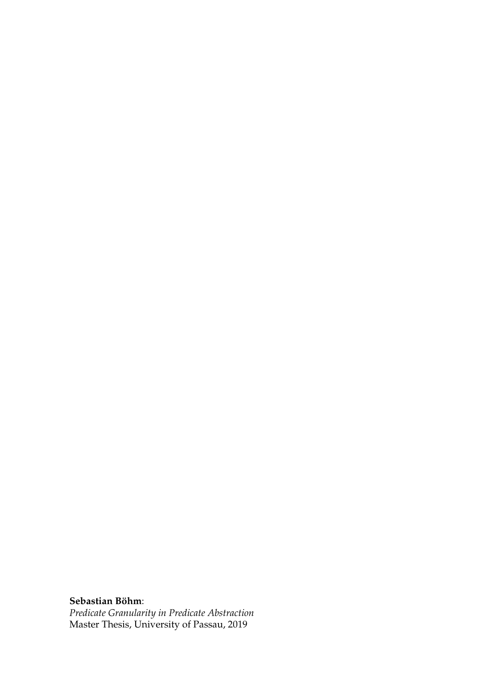**Sebastian Böhm**:

*Predicate Granularity in Predicate Abstraction* Master Thesis, University of Passau, 2019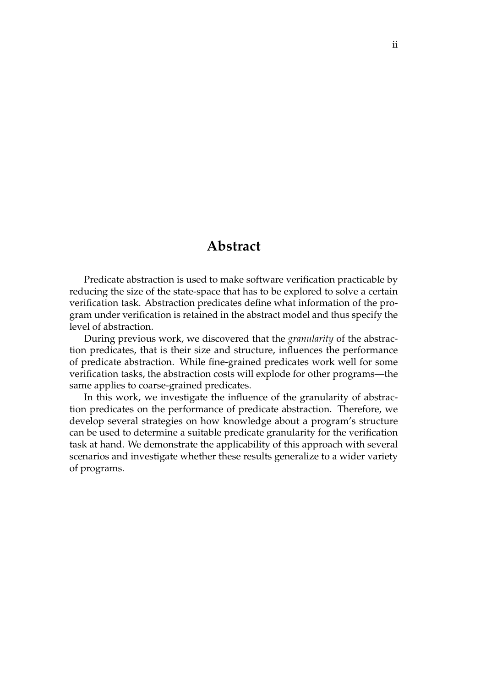### **Abstract**

Predicate abstraction is used to make software verification practicable by reducing the size of the state-space that has to be explored to solve a certain verification task. Abstraction predicates define what information of the program under verification is retained in the abstract model and thus specify the level of abstraction.

During previous work, we discovered that the *granularity* of the abstraction predicates, that is their size and structure, influences the performance of predicate abstraction. While fine-grained predicates work well for some verification tasks, the abstraction costs will explode for other programs—the same applies to coarse-grained predicates.

In this work, we investigate the influence of the granularity of abstraction predicates on the performance of predicate abstraction. Therefore, we develop several strategies on how knowledge about a program's structure can be used to determine a suitable predicate granularity for the verification task at hand. We demonstrate the applicability of this approach with several scenarios and investigate whether these results generalize to a wider variety of programs.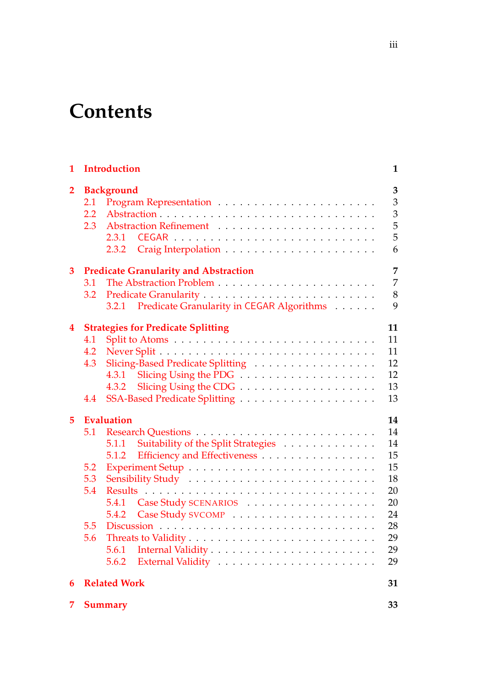# **Contents**

| 1                       |                   | <b>Introduction</b>                                                                       | $\mathbf{1}$               |  |  |  |  |  |
|-------------------------|-------------------|-------------------------------------------------------------------------------------------|----------------------------|--|--|--|--|--|
| $\overline{2}$          | 2.1<br>2.2<br>2.3 | <b>Background</b><br>2.3.1<br>2.3.2                                                       | 3<br>3<br>3<br>5<br>5<br>6 |  |  |  |  |  |
| 3                       |                   | <b>Predicate Granularity and Abstraction</b>                                              | 7                          |  |  |  |  |  |
|                         | 3.1               |                                                                                           |                            |  |  |  |  |  |
|                         | 3.2               |                                                                                           | 7<br>8                     |  |  |  |  |  |
|                         |                   | 3.2.1 Predicate Granularity in CEGAR Algorithms                                           | 9                          |  |  |  |  |  |
| $\overline{\mathbf{4}}$ |                   | <b>Strategies for Predicate Splitting</b>                                                 | 11                         |  |  |  |  |  |
|                         | 4.1               |                                                                                           | 11                         |  |  |  |  |  |
|                         | 4.2               |                                                                                           | 11                         |  |  |  |  |  |
|                         | 4.3               | Slicing-Based Predicate Splitting                                                         | 12                         |  |  |  |  |  |
|                         |                   | 4.3.1                                                                                     | 12                         |  |  |  |  |  |
|                         |                   | 4.3.2                                                                                     | 13                         |  |  |  |  |  |
|                         | 4.4               |                                                                                           | 13                         |  |  |  |  |  |
| 5                       |                   | <b>Evaluation</b>                                                                         | 14                         |  |  |  |  |  |
|                         | 5.1               |                                                                                           | 14                         |  |  |  |  |  |
|                         |                   | Suitability of the Split Strategies<br>5.1.1                                              | 14                         |  |  |  |  |  |
|                         |                   | Efficiency and Effectiveness<br>5.1.2                                                     | 15                         |  |  |  |  |  |
|                         | 5.2               |                                                                                           | 15                         |  |  |  |  |  |
|                         | 5.3               |                                                                                           | 18                         |  |  |  |  |  |
|                         | 5.4               |                                                                                           | 20                         |  |  |  |  |  |
|                         |                   | 5.4.1 Case Study SCENARIOS                                                                | 20                         |  |  |  |  |  |
|                         |                   | 5.4.2                                                                                     | 24                         |  |  |  |  |  |
|                         | 5.5               | Discussion $\ldots \ldots \ldots \ldots \ldots \ldots \ldots \ldots \ldots \ldots \ldots$ | 28                         |  |  |  |  |  |
|                         | 5.6               |                                                                                           | 29                         |  |  |  |  |  |
|                         |                   | 5.6.1                                                                                     | 29                         |  |  |  |  |  |
|                         |                   | 5.6.2                                                                                     | 29                         |  |  |  |  |  |
| 6                       |                   | <b>Related Work</b>                                                                       | 31                         |  |  |  |  |  |
| 7                       | <b>Summary</b>    |                                                                                           |                            |  |  |  |  |  |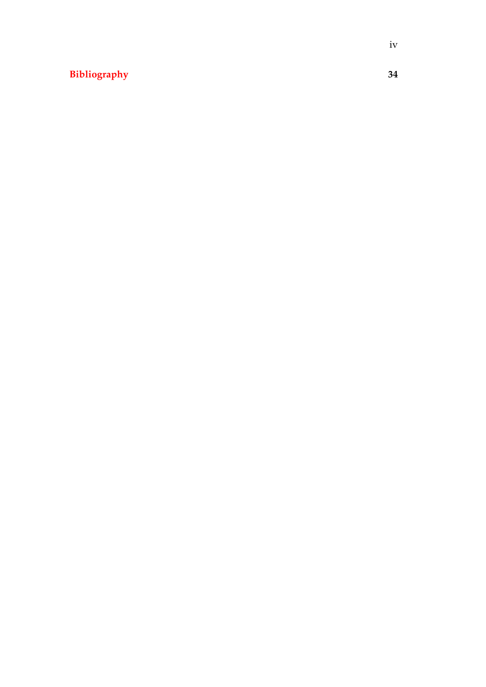### **[Bibliography](#page-40-0) 34**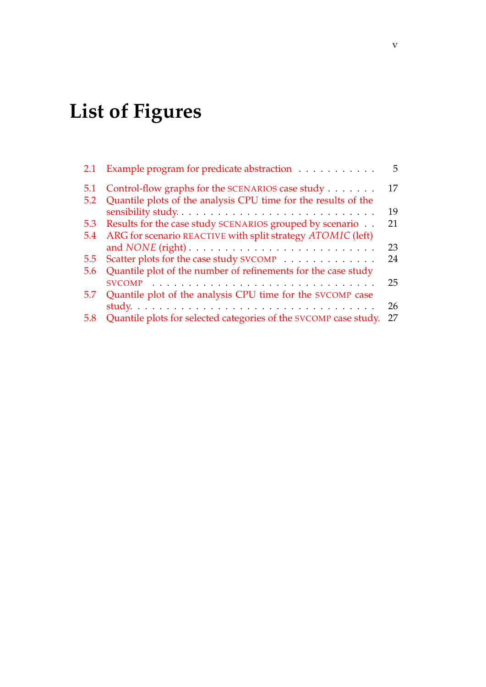# **List of Figures**

|     | 2.1 Example program for predicate abstraction                                       | 5  |
|-----|-------------------------------------------------------------------------------------|----|
| 5.1 | Control-flow graphs for the SCENARIOS case study                                    | 17 |
| 5.2 | Quantile plots of the analysis CPU time for the results of the                      |    |
|     | sensibility study                                                                   | 19 |
| 5.3 | Results for the case study SCENARIOS grouped by scenario                            | 21 |
| 5.4 | ARG for scenario REACTIVE with split strategy ATOMIC (left)                         |    |
|     | and $\text{NONE}$ (right) $\ldots \ldots \ldots \ldots \ldots \ldots \ldots \ldots$ | 23 |
| 5.5 | Scatter plots for the case study SVCOMP                                             | 24 |
| 5.6 | Quantile plot of the number of refinements for the case study                       |    |
|     |                                                                                     | 25 |
| 5.7 | Quantile plot of the analysis CPU time for the SVCOMP case                          |    |
|     |                                                                                     | 26 |
| 5.8 | Quantile plots for selected categories of the SVCOMP case study.                    | 27 |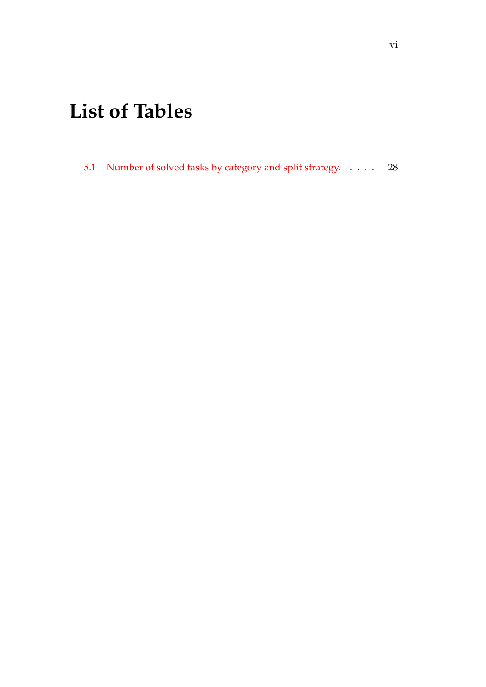# **List of Tables**

[5.1 Number of solved tasks by category and split strategy.](#page-34-1) . . . . 28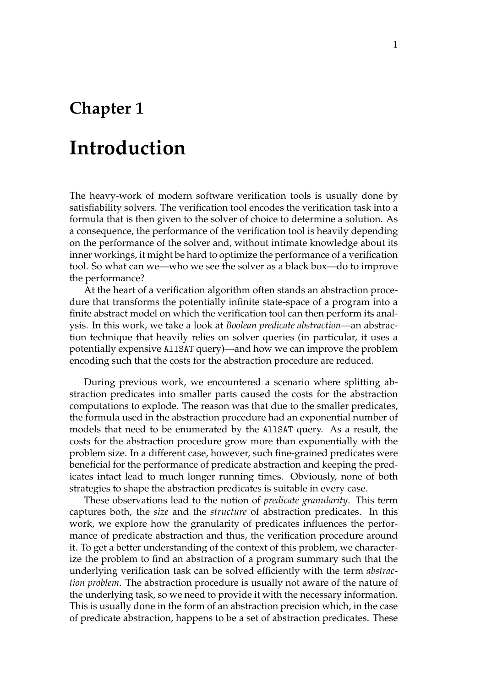## <span id="page-7-0"></span>**Chapter 1**

## **Introduction**

The heavy-work of modern software verification tools is usually done by satisfiability solvers. The verification tool encodes the verification task into a formula that is then given to the solver of choice to determine a solution. As a consequence, the performance of the verification tool is heavily depending on the performance of the solver and, without intimate knowledge about its inner workings, it might be hard to optimize the performance of a verification tool. So what can we—who we see the solver as a black box—do to improve the performance?

At the heart of a verification algorithm often stands an abstraction procedure that transforms the potentially infinite state-space of a program into a finite abstract model on which the verification tool can then perform its analysis. In this work, we take a look at *Boolean predicate abstraction*—an abstraction technique that heavily relies on solver queries (in particular, it uses a potentially expensive AllSAT query)—and how we can improve the problem encoding such that the costs for the abstraction procedure are reduced.

During previous work, we encountered a scenario where splitting abstraction predicates into smaller parts caused the costs for the abstraction computations to explode. The reason was that due to the smaller predicates, the formula used in the abstraction procedure had an exponential number of models that need to be enumerated by the AllSAT query. As a result, the costs for the abstraction procedure grow more than exponentially with the problem size. In a different case, however, such fine-grained predicates were beneficial for the performance of predicate abstraction and keeping the predicates intact lead to much longer running times. Obviously, none of both strategies to shape the abstraction predicates is suitable in every case.

These observations lead to the notion of *predicate granularity*. This term captures both, the *size* and the *structure* of abstraction predicates. In this work, we explore how the granularity of predicates influences the performance of predicate abstraction and thus, the verification procedure around it. To get a better understanding of the context of this problem, we characterize the problem to find an abstraction of a program summary such that the underlying verification task can be solved efficiently with the term *abstraction problem*. The abstraction procedure is usually not aware of the nature of the underlying task, so we need to provide it with the necessary information. This is usually done in the form of an abstraction precision which, in the case of predicate abstraction, happens to be a set of abstraction predicates. These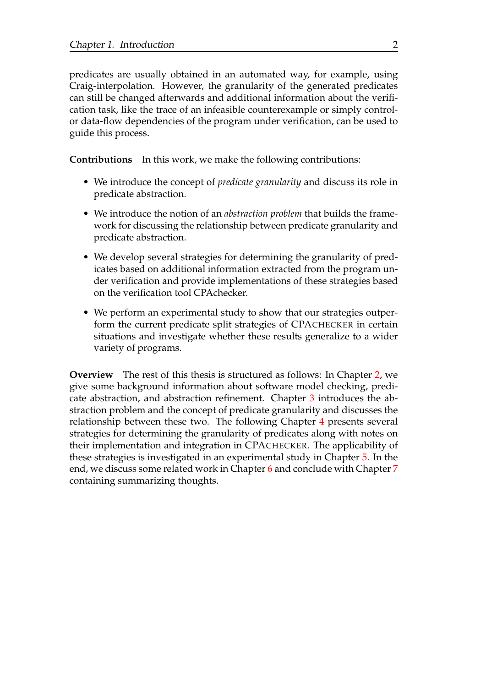predicates are usually obtained in an automated way, for example, using Craig-interpolation. However, the granularity of the generated predicates can still be changed afterwards and additional information about the verification task, like the trace of an infeasible counterexample or simply controlor data-flow dependencies of the program under verification, can be used to guide this process.

**Contributions** In this work, we make the following contributions:

- We introduce the concept of *predicate granularity* and discuss its role in predicate abstraction.
- We introduce the notion of an *abstraction problem* that builds the framework for discussing the relationship between predicate granularity and predicate abstraction.
- We develop several strategies for determining the granularity of predicates based on additional information extracted from the program under verification and provide implementations of these strategies based on the verification tool CPAchecker.
- We perform an experimental study to show that our strategies outperform the current predicate split strategies of CPACHECKER in certain situations and investigate whether these results generalize to a wider variety of programs.

**Overview** The rest of this thesis is structured as follows: In Chapter [2,](#page-9-0) we give some background information about software model checking, predicate abstraction, and abstraction refinement. Chapter [3](#page-13-0) introduces the abstraction problem and the concept of predicate granularity and discusses the relationship between these two. The following Chapter [4](#page-17-0) presents several strategies for determining the granularity of predicates along with notes on their implementation and integration in CPACHECKER. The applicability of these strategies is investigated in an experimental study in Chapter [5.](#page-20-0) In the end, we discuss some related work in Chapter [6](#page-37-0) and conclude with Chapter [7](#page-39-0) containing summarizing thoughts.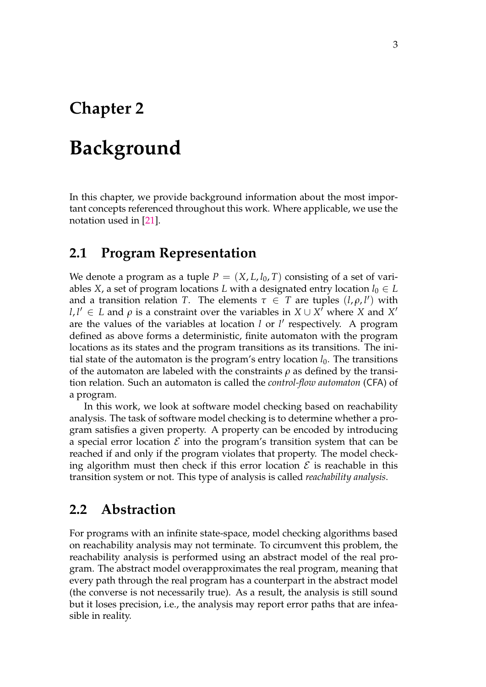## <span id="page-9-0"></span>**Chapter 2**

## **Background**

In this chapter, we provide background information about the most important concepts referenced throughout this work. Where applicable, we use the notation used in [\[21\]](#page-42-0).

### <span id="page-9-1"></span>**2.1 Program Representation**

We denote a program as a tuple  $P = (X, L, l_0, T)$  consisting of a set of variables *X*, a set of program locations *L* with a designated entry location  $l_0 \in L$ and a transition relation *T*. The elements  $\tau \in T$  are tuples  $(l, \rho, l')$  with  $l, l' \in L$  and  $\rho$  is a constraint over the variables in  $X \cup X^T$  where *X* and *X*<sup>*'*</sup> are the values of the variables at location *l* or *l'* respectively. A program defined as above forms a deterministic, finite automaton with the program locations as its states and the program transitions as its transitions. The initial state of the automaton is the program's entry location  $l_0$ . The transitions of the automaton are labeled with the constraints *ρ* as defined by the transition relation. Such an automaton is called the *control-flow automaton* (CFA) of a program.

In this work, we look at software model checking based on reachability analysis. The task of software model checking is to determine whether a program satisfies a given property. A property can be encoded by introducing a special error location  $\mathcal E$  into the program's transition system that can be reached if and only if the program violates that property. The model checking algorithm must then check if this error location  $\mathcal E$  is reachable in this transition system or not. This type of analysis is called *reachability analysis*.

#### <span id="page-9-2"></span>**2.2 Abstraction**

For programs with an infinite state-space, model checking algorithms based on reachability analysis may not terminate. To circumvent this problem, the reachability analysis is performed using an abstract model of the real program. The abstract model overapproximates the real program, meaning that every path through the real program has a counterpart in the abstract model (the converse is not necessarily true). As a result, the analysis is still sound but it loses precision, i.e., the analysis may report error paths that are infeasible in reality.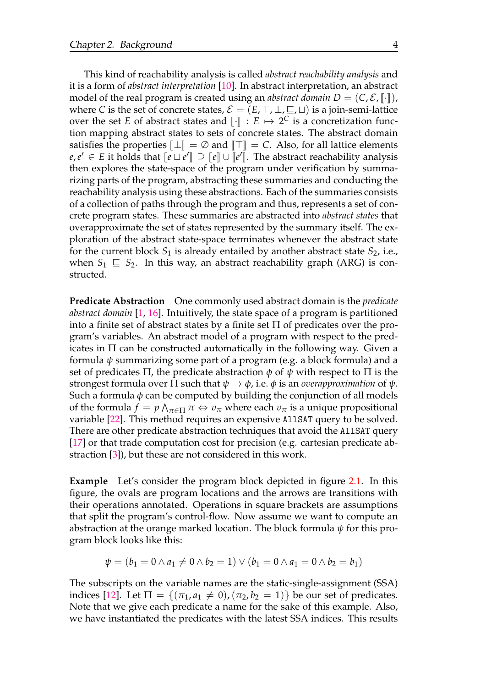This kind of reachability analysis is called *abstract reachability analysis* and it is a form of *abstract interpretation* [\[10\]](#page-41-0). In abstract interpretation, an abstract model of the real program is created using an *abstract domain*  $D = (C, \mathcal{E}, \llbracket \cdot \rrbracket)$ , where *C* is the set of concrete states,  $\mathcal{E} = (E, \top, \bot, \sqsubseteq, \sqcup)$  is a join-semi-lattice over the set *E* of abstract states and  $\llbracket \cdot \rrbracket : E \mapsto 2^C$  is a concretization function manning abstract states to sets of concrete states. The abstract domain tion mapping abstract states to sets of concrete states. The abstract domain satisfies the properties  $\llbracket \perp \rrbracket = \emptyset$  and  $\llbracket \top \rrbracket = C$ . Also, for all lattice elements *e*,*e*' ∈ *E* it holds that  $[$ *e*  $\cup$   $e$ <sup>'</sup> $\cup$ </sup>  $\sup$   $\subseteq$   $[$ *e* $]$  $\cup$   $[$ *e*<sup>'</sup> $\vdots$ <sup>*e*</sup> $\vdots$ <sup>*e*</sup> $\vdots$ <sup>*e*</sup> $\vdots$ <sup>*e*</sup> $\vdots$ <sup>*e*</sup> $\vdots$ *e*<sup> $\vdots$ </sup>*e*<sup> $\vdots$ </sup> $\vdots$ *e*<sup> $\vdots$ </sup> $\vdots$ *e*<sup> $\vdots$ </sup> $\vdots$ *e*<sub>*s*</sub>  $\vdots$ *e*<sub>*s*</sub> then explores the state-space of the program under verification by summarizing parts of the program, abstracting these summaries and conducting the reachability analysis using these abstractions. Each of the summaries consists of a collection of paths through the program and thus, represents a set of concrete program states. These summaries are abstracted into *abstract states* that overapproximate the set of states represented by the summary itself. The exploration of the abstract state-space terminates whenever the abstract state for the current block  $S_1$  is already entailed by another abstract state  $S_2$ , i.e., when  $S_1 \subseteq S_2$ . In this way, an abstract reachability graph (ARG) is constructed.

**Predicate Abstraction** One commonly used abstract domain is the *predicate abstract domain* [\[1,](#page-40-1) [16\]](#page-41-1). Intuitively, the state space of a program is partitioned into a finite set of abstract states by a finite set  $\Pi$  of predicates over the program's variables. An abstract model of a program with respect to the predicates in  $\Pi$  can be constructed automatically in the following way. Given a formula *ψ* summarizing some part of a program (e.g. a block formula) and a set of predicates  $\Pi$ , the predicate abstraction  $\phi$  of  $\psi$  with respect to  $\Pi$  is the strongest formula over  $\Pi$  such that  $\psi \to \phi$ , i.e.  $\phi$  is an *overapproximation* of  $\psi$ . Such a formula  $\phi$  can be computed by building the conjunction of all models of the formula  $f = p \bigwedge_{\pi \in \Pi} \pi \Leftrightarrow v_{\pi}$  where each  $v_{\pi}$  is a unique propositional variable [\[22\]](#page-42-1). This method requires an expensive AllSAT query to be solved. There are other predicate abstraction techniques that avoid the AllSAT query [\[17\]](#page-41-2) or that trade computation cost for precision (e.g. cartesian predicate abstraction [\[3\]](#page-40-2)), but these are not considered in this work.

**Example** Let's consider the program block depicted in figure [2.1.](#page-11-2) In this figure, the ovals are program locations and the arrows are transitions with their operations annotated. Operations in square brackets are assumptions that split the program's control-flow. Now assume we want to compute an abstraction at the orange marked location. The block formula *ψ* for this program block looks like this:

$$
\psi = (b_1 = 0 \land a_1 \neq 0 \land b_2 = 1) \lor (b_1 = 0 \land a_1 = 0 \land b_2 = b_1)
$$

The subscripts on the variable names are the static-single-assignment (SSA) indices [\[12\]](#page-41-3). Let  $\Pi = \{(\pi_1, a_1 \neq 0), (\pi_2, b_2 = 1)\}\$  be our set of predicates. Note that we give each predicate a name for the sake of this example. Also, we have instantiated the predicates with the latest SSA indices. This results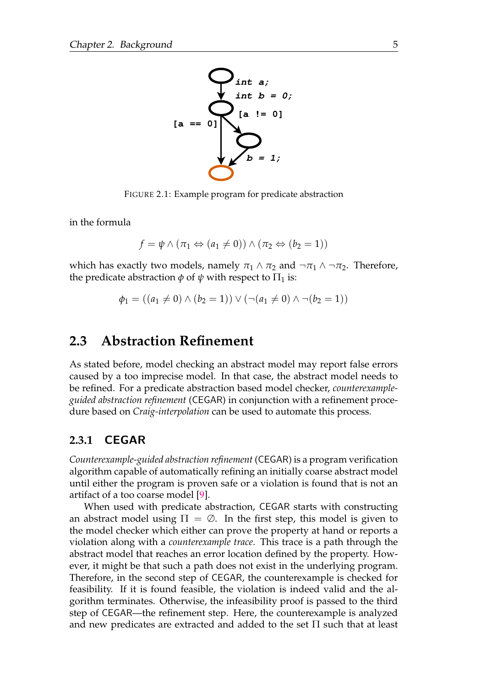<span id="page-11-2"></span>

FIGURE 2.1: Example program for predicate abstraction

in the formula

$$
f = \psi \land (\pi_1 \Leftrightarrow (a_1 \neq 0)) \land (\pi_2 \Leftrightarrow (b_2 = 1))
$$

which has exactly two models, namely  $\pi_1 \wedge \pi_2$  and  $\neg \pi_1 \wedge \neg \pi_2$ . Therefore, the predicate abstraction  $\phi$  of  $\psi$  with respect to  $\Pi_1$  is:

$$
\phi_1 = ((a_1 \neq 0) \land (b_2 = 1)) \lor (\neg (a_1 \neq 0) \land \neg (b_2 = 1))
$$

### <span id="page-11-0"></span>**2.3 Abstraction Refinement**

As stated before, model checking an abstract model may report false errors caused by a too imprecise model. In that case, the abstract model needs to be refined. For a predicate abstraction based model checker, *counterexampleguided abstraction refinement* (CEGAR) in conjunction with a refinement procedure based on *Craig-interpolation* can be used to automate this process.

#### <span id="page-11-1"></span>**2.3.1 CEGAR**

*Counterexample-guided abstraction refinement* (CEGAR) is a program verification algorithm capable of automatically refining an initially coarse abstract model until either the program is proven safe or a violation is found that is not an artifact of a too coarse model [\[9\]](#page-41-4).

When used with predicate abstraction, CEGAR starts with constructing an abstract model using  $\Pi = \emptyset$ . In the first step, this model is given to the model checker which either can prove the property at hand or reports a violation along with a *counterexample trace*. This trace is a path through the abstract model that reaches an error location defined by the property. However, it might be that such a path does not exist in the underlying program. Therefore, in the second step of CEGAR, the counterexample is checked for feasibility. If it is found feasible, the violation is indeed valid and the algorithm terminates. Otherwise, the infeasibility proof is passed to the third step of CEGAR—the refinement step. Here, the counterexample is analyzed and new predicates are extracted and added to the set Π such that at least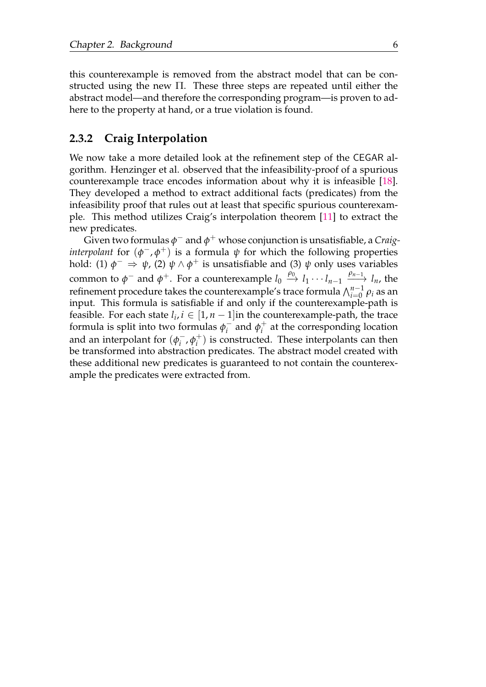this counterexample is removed from the abstract model that can be constructed using the new Π. These three steps are repeated until either the abstract model—and therefore the corresponding program—is proven to adhere to the property at hand, or a true violation is found.

#### <span id="page-12-0"></span>**2.3.2 Craig Interpolation**

We now take a more detailed look at the refinement step of the CEGAR algorithm. Henzinger et al. observed that the infeasibility-proof of a spurious counterexample trace encodes information about why it is infeasible [\[18\]](#page-42-2). They developed a method to extract additional facts (predicates) from the infeasibility proof that rules out at least that specific spurious counterexample. This method utilizes Craig's interpolation theorem [\[11\]](#page-41-5) to extract the new predicates.

 $\tilde{\mathrm{Given}}$  two formulas  $\phi^-$  and  $\phi^+$  whose conjunction is unsatisfiable, a Craig*interpolant* for  $(\phi^-,\phi^+)$  is a formula  $\psi$  for which the following properties hold: (1)  $\phi^- \Rightarrow \psi$ , (2)  $\psi \wedge \phi^+$  is unsatisfiable and (3)  $\psi$  only uses variables common to  $\phi^-$  and  $\phi^+$ . For a counterexample  $l_0 \stackrel{\rho_0}{\to} l_1 \cdots l_{n-1} \stackrel{\rho_{n-1}}{\longrightarrow} l_n$ , the refinement procedure takes the counterexample's trace formula  $\bigwedge_{i=0}^{n-1} \rho_i$  as an input. This formula is satisfiable if and only if the counterexample-path is feasible. For each state  $l_i$ ,  $i \in [1, n-1]$  in the counterexample-path, the trace formula is split into two formulas  $\phi_i^ \int_i$  and  $\phi_i$ <sup>+</sup>  $i^{\pm}$  at the corresponding location and an interpolant for  $(\phi_i^-)$  $\bar{i}$ <sup> $\phi$ </sup> $i$ <sup>+</sup>  $i^{\dagger}$ ) is constructed. These interpolants can then be transformed into abstraction predicates. The abstract model created with these additional new predicates is guaranteed to not contain the counterexample the predicates were extracted from.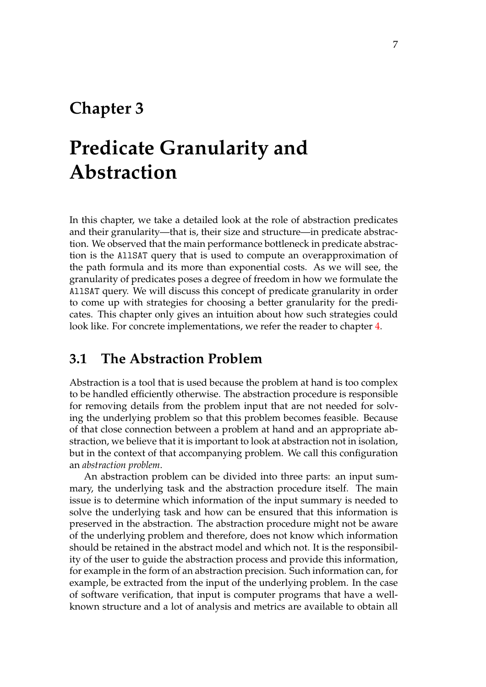## <span id="page-13-0"></span>**Chapter 3**

## **Predicate Granularity and Abstraction**

In this chapter, we take a detailed look at the role of abstraction predicates and their granularity—that is, their size and structure—in predicate abstraction. We observed that the main performance bottleneck in predicate abstraction is the AllSAT query that is used to compute an overapproximation of the path formula and its more than exponential costs. As we will see, the granularity of predicates poses a degree of freedom in how we formulate the AllSAT query. We will discuss this concept of predicate granularity in order to come up with strategies for choosing a better granularity for the predicates. This chapter only gives an intuition about how such strategies could look like. For concrete implementations, we refer the reader to chapter [4.](#page-17-0)

### <span id="page-13-1"></span>**3.1 The Abstraction Problem**

Abstraction is a tool that is used because the problem at hand is too complex to be handled efficiently otherwise. The abstraction procedure is responsible for removing details from the problem input that are not needed for solving the underlying problem so that this problem becomes feasible. Because of that close connection between a problem at hand and an appropriate abstraction, we believe that it is important to look at abstraction not in isolation, but in the context of that accompanying problem. We call this configuration an *abstraction problem*.

An abstraction problem can be divided into three parts: an input summary, the underlying task and the abstraction procedure itself. The main issue is to determine which information of the input summary is needed to solve the underlying task and how can be ensured that this information is preserved in the abstraction. The abstraction procedure might not be aware of the underlying problem and therefore, does not know which information should be retained in the abstract model and which not. It is the responsibility of the user to guide the abstraction process and provide this information, for example in the form of an abstraction precision. Such information can, for example, be extracted from the input of the underlying problem. In the case of software verification, that input is computer programs that have a wellknown structure and a lot of analysis and metrics are available to obtain all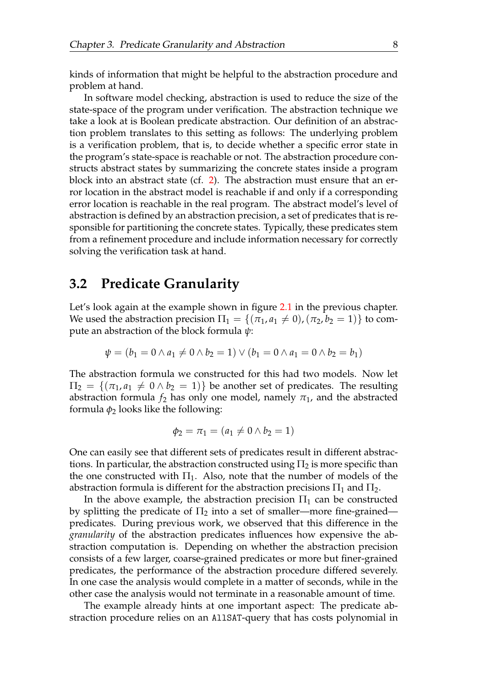kinds of information that might be helpful to the abstraction procedure and problem at hand.

In software model checking, abstraction is used to reduce the size of the state-space of the program under verification. The abstraction technique we take a look at is Boolean predicate abstraction. Our definition of an abstraction problem translates to this setting as follows: The underlying problem is a verification problem, that is, to decide whether a specific error state in the program's state-space is reachable or not. The abstraction procedure constructs abstract states by summarizing the concrete states inside a program block into an abstract state (cf. [2\)](#page-9-0). The abstraction must ensure that an error location in the abstract model is reachable if and only if a corresponding error location is reachable in the real program. The abstract model's level of abstraction is defined by an abstraction precision, a set of predicates that is responsible for partitioning the concrete states. Typically, these predicates stem from a refinement procedure and include information necessary for correctly solving the verification task at hand.

### <span id="page-14-0"></span>**3.2 Predicate Granularity**

Let's look again at the example shown in figure [2.1](#page-11-2) in the previous chapter. We used the abstraction precision  $\Pi_1 = \{(\pi_1, a_1 \neq 0),(\pi_2, b_2 = 1)\}\)$  to compute an abstraction of the block formula *ψ*:

$$
\psi = (b_1 = 0 \land a_1 \neq 0 \land b_2 = 1) \lor (b_1 = 0 \land a_1 = 0 \land b_2 = b_1)
$$

The abstraction formula we constructed for this had two models. Now let  $\Pi_2 = \{(\pi_1, a_1 \neq 0 \land b_2 = 1)\}\$  be another set of predicates. The resulting abstraction formula  $f_2$  has only one model, namely  $\pi_1$ , and the abstracted formula  $\phi_2$  looks like the following:

$$
\phi_2 = \pi_1 = (a_1 \neq 0 \land b_2 = 1)
$$

One can easily see that different sets of predicates result in different abstractions. In particular, the abstraction constructed using  $\Pi_2$  is more specific than the one constructed with  $\Pi_1$ . Also, note that the number of models of the abstraction formula is different for the abstraction precisions  $\Pi_1$  and  $\Pi_2$ .

In the above example, the abstraction precision  $\Pi_1$  can be constructed by splitting the predicate of  $\Pi_2$  into a set of smaller—more fine-grained predicates. During previous work, we observed that this difference in the *granularity* of the abstraction predicates influences how expensive the abstraction computation is. Depending on whether the abstraction precision consists of a few larger, coarse-grained predicates or more but finer-grained predicates, the performance of the abstraction procedure differed severely. In one case the analysis would complete in a matter of seconds, while in the other case the analysis would not terminate in a reasonable amount of time.

The example already hints at one important aspect: The predicate abstraction procedure relies on an AllSAT-query that has costs polynomial in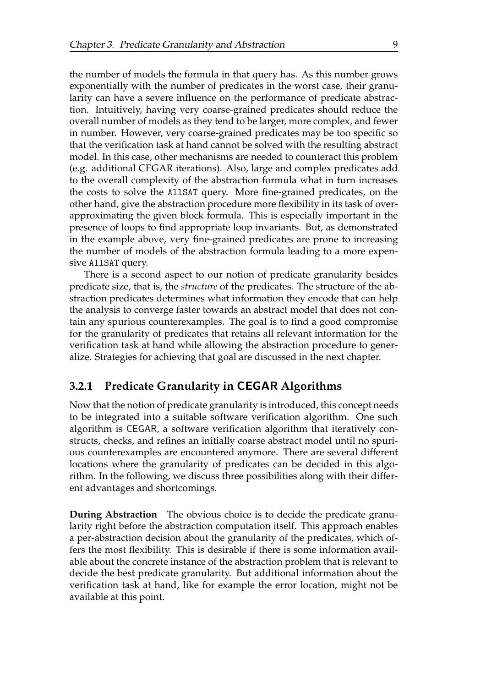the number of models the formula in that query has. As this number grows exponentially with the number of predicates in the worst case, their granularity can have a severe influence on the performance of predicate abstraction. Intuitively, having very coarse-grained predicates should reduce the overall number of models as they tend to be larger, more complex, and fewer in number. However, very coarse-grained predicates may be too specific so that the verification task at hand cannot be solved with the resulting abstract model. In this case, other mechanisms are needed to counteract this problem (e.g. additional CEGAR iterations). Also, large and complex predicates add to the overall complexity of the abstraction formula what in turn increases the costs to solve the AllSAT query. More fine-grained predicates, on the other hand, give the abstraction procedure more flexibility in its task of overapproximating the given block formula. This is especially important in the presence of loops to find appropriate loop invariants. But, as demonstrated in the example above, very fine-grained predicates are prone to increasing the number of models of the abstraction formula leading to a more expensive AllSAT query.

There is a second aspect to our notion of predicate granularity besides predicate size, that is, the *structure* of the predicates. The structure of the abstraction predicates determines what information they encode that can help the analysis to converge faster towards an abstract model that does not contain any spurious counterexamples. The goal is to find a good compromise for the granularity of predicates that retains all relevant information for the verification task at hand while allowing the abstraction procedure to generalize. Strategies for achieving that goal are discussed in the next chapter.

#### <span id="page-15-0"></span>**3.2.1 Predicate Granularity in CEGAR Algorithms**

Now that the notion of predicate granularity is introduced, this concept needs to be integrated into a suitable software verification algorithm. One such algorithm is CEGAR, a software verification algorithm that iteratively constructs, checks, and refines an initially coarse abstract model until no spurious counterexamples are encountered anymore. There are several different locations where the granularity of predicates can be decided in this algorithm. In the following, we discuss three possibilities along with their different advantages and shortcomings.

**During Abstraction** The obvious choice is to decide the predicate granularity right before the abstraction computation itself. This approach enables a per-abstraction decision about the granularity of the predicates, which offers the most flexibility. This is desirable if there is some information available about the concrete instance of the abstraction problem that is relevant to decide the best predicate granularity. But additional information about the verification task at hand, like for example the error location, might not be available at this point.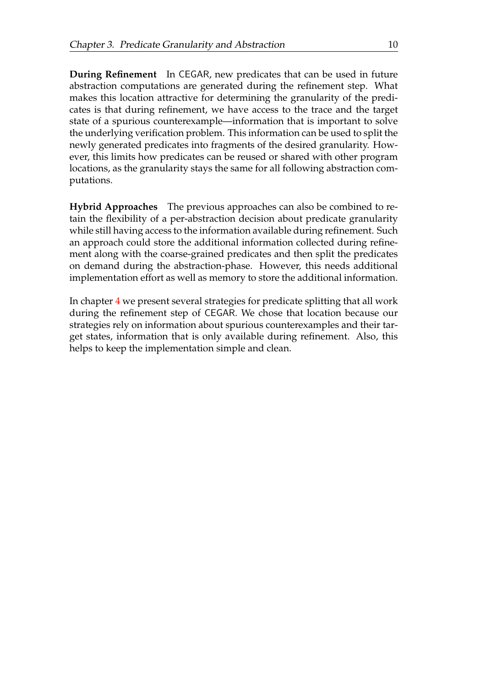**During Refinement** In CEGAR, new predicates that can be used in future abstraction computations are generated during the refinement step. What makes this location attractive for determining the granularity of the predicates is that during refinement, we have access to the trace and the target state of a spurious counterexample—information that is important to solve the underlying verification problem. This information can be used to split the newly generated predicates into fragments of the desired granularity. However, this limits how predicates can be reused or shared with other program locations, as the granularity stays the same for all following abstraction computations.

**Hybrid Approaches** The previous approaches can also be combined to retain the flexibility of a per-abstraction decision about predicate granularity while still having access to the information available during refinement. Such an approach could store the additional information collected during refinement along with the coarse-grained predicates and then split the predicates on demand during the abstraction-phase. However, this needs additional implementation effort as well as memory to store the additional information.

In chapter [4](#page-17-0) we present several strategies for predicate splitting that all work during the refinement step of CEGAR. We chose that location because our strategies rely on information about spurious counterexamples and their target states, information that is only available during refinement. Also, this helps to keep the implementation simple and clean.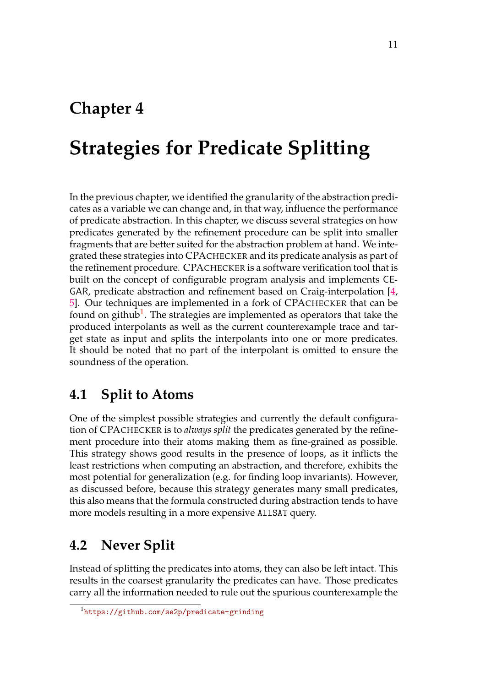## <span id="page-17-0"></span>**Chapter 4**

## **Strategies for Predicate Splitting**

In the previous chapter, we identified the granularity of the abstraction predicates as a variable we can change and, in that way, influence the performance of predicate abstraction. In this chapter, we discuss several strategies on how predicates generated by the refinement procedure can be split into smaller fragments that are better suited for the abstraction problem at hand. We integrated these strategies into CPACHECKER and its predicate analysis as part of the refinement procedure. CPACHECKER is a software verification tool that is built on the concept of configurable program analysis and implements CE-GAR, predicate abstraction and refinement based on Craig-interpolation [\[4,](#page-40-3) [5\]](#page-40-4). Our techniques are implemented in a fork of CPACHECKER that can be found on github<sup>[1](#page-17-3)</sup>. The strategies are implemented as operators that take the produced interpolants as well as the current counterexample trace and target state as input and splits the interpolants into one or more predicates. It should be noted that no part of the interpolant is omitted to ensure the soundness of the operation.

### <span id="page-17-1"></span>**4.1 Split to Atoms**

One of the simplest possible strategies and currently the default configuration of CPACHECKER is to *always split* the predicates generated by the refinement procedure into their atoms making them as fine-grained as possible. This strategy shows good results in the presence of loops, as it inflicts the least restrictions when computing an abstraction, and therefore, exhibits the most potential for generalization (e.g. for finding loop invariants). However, as discussed before, because this strategy generates many small predicates, this also means that the formula constructed during abstraction tends to have more models resulting in a more expensive AllSAT query.

## <span id="page-17-2"></span>**4.2 Never Split**

Instead of splitting the predicates into atoms, they can also be left intact. This results in the coarsest granularity the predicates can have. Those predicates carry all the information needed to rule out the spurious counterexample the

<span id="page-17-3"></span><sup>1</sup><https://github.com/se2p/predicate-grinding>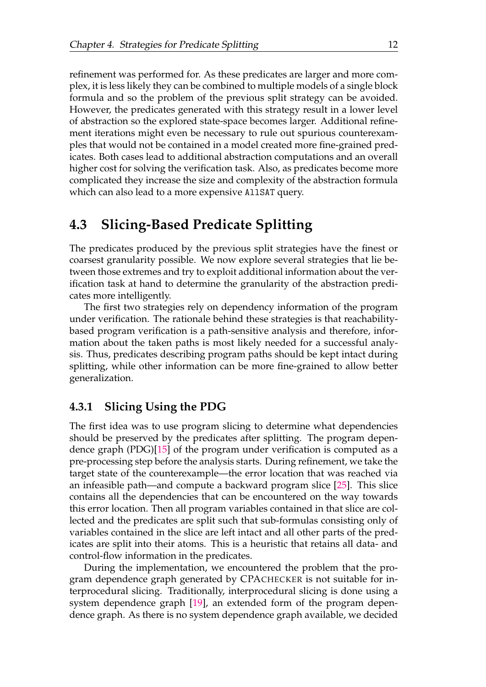refinement was performed for. As these predicates are larger and more complex, it is less likely they can be combined to multiple models of a single block formula and so the problem of the previous split strategy can be avoided. However, the predicates generated with this strategy result in a lower level of abstraction so the explored state-space becomes larger. Additional refinement iterations might even be necessary to rule out spurious counterexamples that would not be contained in a model created more fine-grained predicates. Both cases lead to additional abstraction computations and an overall higher cost for solving the verification task. Also, as predicates become more complicated they increase the size and complexity of the abstraction formula which can also lead to a more expensive AllSAT query.

### <span id="page-18-0"></span>**4.3 Slicing-Based Predicate Splitting**

The predicates produced by the previous split strategies have the finest or coarsest granularity possible. We now explore several strategies that lie between those extremes and try to exploit additional information about the verification task at hand to determine the granularity of the abstraction predicates more intelligently.

The first two strategies rely on dependency information of the program under verification. The rationale behind these strategies is that reachabilitybased program verification is a path-sensitive analysis and therefore, information about the taken paths is most likely needed for a successful analysis. Thus, predicates describing program paths should be kept intact during splitting, while other information can be more fine-grained to allow better generalization.

#### <span id="page-18-1"></span>**4.3.1 Slicing Using the PDG**

The first idea was to use program slicing to determine what dependencies should be preserved by the predicates after splitting. The program dependence graph (PDG)[\[15\]](#page-41-6) of the program under verification is computed as a pre-processing step before the analysis starts. During refinement, we take the target state of the counterexample—the error location that was reached via an infeasible path—and compute a backward program slice [\[25\]](#page-42-3). This slice contains all the dependencies that can be encountered on the way towards this error location. Then all program variables contained in that slice are collected and the predicates are split such that sub-formulas consisting only of variables contained in the slice are left intact and all other parts of the predicates are split into their atoms. This is a heuristic that retains all data- and control-flow information in the predicates.

During the implementation, we encountered the problem that the program dependence graph generated by CPACHECKER is not suitable for interprocedural slicing. Traditionally, interprocedural slicing is done using a system dependence graph [\[19\]](#page-42-4), an extended form of the program dependence graph. As there is no system dependence graph available, we decided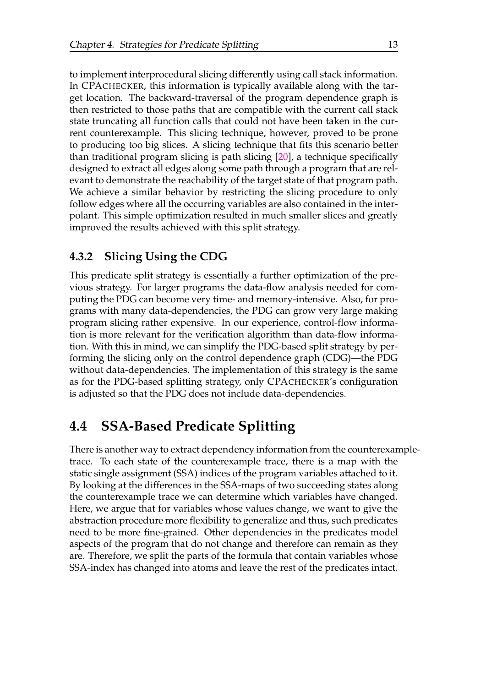to implement interprocedural slicing differently using call stack information. In CPACHECKER, this information is typically available along with the target location. The backward-traversal of the program dependence graph is then restricted to those paths that are compatible with the current call stack state truncating all function calls that could not have been taken in the current counterexample. This slicing technique, however, proved to be prone to producing too big slices. A slicing technique that fits this scenario better than traditional program slicing is path slicing [\[20\]](#page-42-5), a technique specifically designed to extract all edges along some path through a program that are relevant to demonstrate the reachability of the target state of that program path. We achieve a similar behavior by restricting the slicing procedure to only follow edges where all the occurring variables are also contained in the interpolant. This simple optimization resulted in much smaller slices and greatly improved the results achieved with this split strategy.

#### <span id="page-19-0"></span>**4.3.2 Slicing Using the CDG**

This predicate split strategy is essentially a further optimization of the previous strategy. For larger programs the data-flow analysis needed for computing the PDG can become very time- and memory-intensive. Also, for programs with many data-dependencies, the PDG can grow very large making program slicing rather expensive. In our experience, control-flow information is more relevant for the verification algorithm than data-flow information. With this in mind, we can simplify the PDG-based split strategy by performing the slicing only on the control dependence graph (CDG)—the PDG without data-dependencies. The implementation of this strategy is the same as for the PDG-based splitting strategy, only CPACHECKER's configuration is adjusted so that the PDG does not include data-dependencies.

## <span id="page-19-1"></span>**4.4 SSA-Based Predicate Splitting**

There is another way to extract dependency information from the counterexampletrace. To each state of the counterexample trace, there is a map with the static single assignment (SSA) indices of the program variables attached to it. By looking at the differences in the SSA-maps of two succeeding states along the counterexample trace we can determine which variables have changed. Here, we argue that for variables whose values change, we want to give the abstraction procedure more flexibility to generalize and thus, such predicates need to be more fine-grained. Other dependencies in the predicates model aspects of the program that do not change and therefore can remain as they are. Therefore, we split the parts of the formula that contain variables whose SSA-index has changed into atoms and leave the rest of the predicates intact.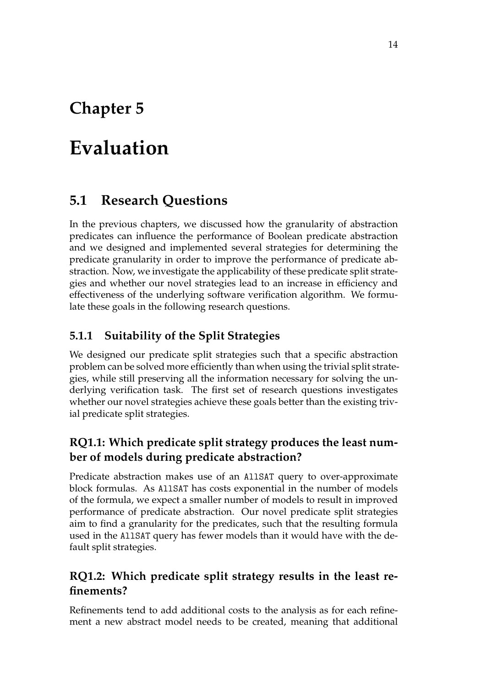## <span id="page-20-0"></span>**Chapter 5**

## **Evaluation**

## <span id="page-20-1"></span>**5.1 Research Questions**

In the previous chapters, we discussed how the granularity of abstraction predicates can influence the performance of Boolean predicate abstraction and we designed and implemented several strategies for determining the predicate granularity in order to improve the performance of predicate abstraction. Now, we investigate the applicability of these predicate split strategies and whether our novel strategies lead to an increase in efficiency and effectiveness of the underlying software verification algorithm. We formulate these goals in the following research questions.

### <span id="page-20-2"></span>**5.1.1 Suitability of the Split Strategies**

We designed our predicate split strategies such that a specific abstraction problem can be solved more efficiently than when using the trivial split strategies, while still preserving all the information necessary for solving the underlying verification task. The first set of research questions investigates whether our novel strategies achieve these goals better than the existing trivial predicate split strategies.

### **RQ1.1: Which predicate split strategy produces the least number of models during predicate abstraction?**

Predicate abstraction makes use of an AllSAT query to over-approximate block formulas. As AllSAT has costs exponential in the number of models of the formula, we expect a smaller number of models to result in improved performance of predicate abstraction. Our novel predicate split strategies aim to find a granularity for the predicates, such that the resulting formula used in the AllSAT query has fewer models than it would have with the default split strategies.

### **RQ1.2: Which predicate split strategy results in the least refinements?**

Refinements tend to add additional costs to the analysis as for each refinement a new abstract model needs to be created, meaning that additional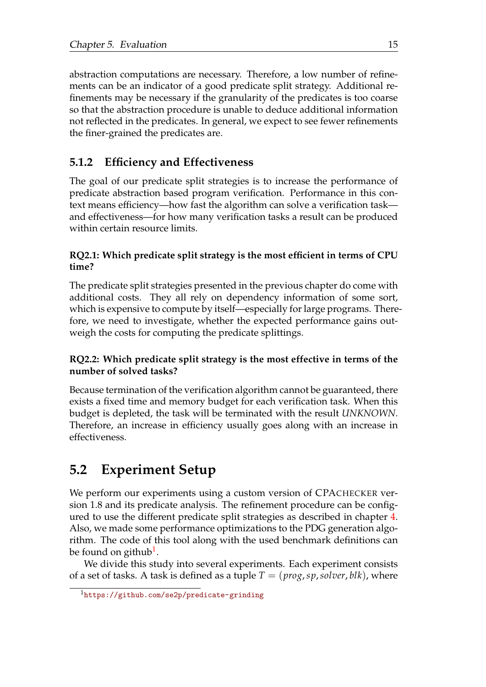abstraction computations are necessary. Therefore, a low number of refinements can be an indicator of a good predicate split strategy. Additional refinements may be necessary if the granularity of the predicates is too coarse so that the abstraction procedure is unable to deduce additional information not reflected in the predicates. In general, we expect to see fewer refinements the finer-grained the predicates are.

### <span id="page-21-0"></span>**5.1.2 Efficiency and Effectiveness**

The goal of our predicate split strategies is to increase the performance of predicate abstraction based program verification. Performance in this context means efficiency—how fast the algorithm can solve a verification task and effectiveness—for how many verification tasks a result can be produced within certain resource limits.

#### **RQ2.1: Which predicate split strategy is the most efficient in terms of CPU time?**

The predicate split strategies presented in the previous chapter do come with additional costs. They all rely on dependency information of some sort, which is expensive to compute by itself—especially for large programs. Therefore, we need to investigate, whether the expected performance gains outweigh the costs for computing the predicate splittings.

#### **RQ2.2: Which predicate split strategy is the most effective in terms of the number of solved tasks?**

Because termination of the verification algorithm cannot be guaranteed, there exists a fixed time and memory budget for each verification task. When this budget is depleted, the task will be terminated with the result *UNKNOWN*. Therefore, an increase in efficiency usually goes along with an increase in effectiveness.

## <span id="page-21-1"></span>**5.2 Experiment Setup**

We perform our experiments using a custom version of CPACHECKER version 1.8 and its predicate analysis. The refinement procedure can be configured to use the different predicate split strategies as described in chapter [4.](#page-17-0) Also, we made some performance optimizations to the PDG generation algorithm. The code of this tool along with the used benchmark definitions can be found on github $^{\rm 1}.$  $^{\rm 1}.$  $^{\rm 1}.$ 

We divide this study into several experiments. Each experiment consists of a set of tasks. A task is defined as a tuple  $T = (prog, sp, solver, blk)$ , where

<span id="page-21-2"></span><sup>1</sup><https://github.com/se2p/predicate-grinding>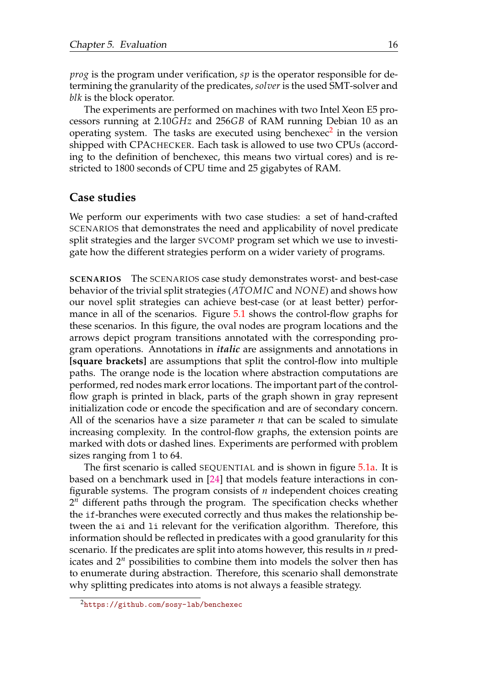*prog* is the program under verification, *sp* is the operator responsible for determining the granularity of the predicates, *solver* is the used SMT-solver and *blk* is the block operator.

The experiments are performed on machines with two Intel Xeon E5 processors running at 2.10*GHz* and 256*GB* of RAM running Debian 10 as an operating system. The tasks are executed using benchexec<sup>[2](#page-22-0)</sup> in the version shipped with CPACHECKER. Each task is allowed to use two CPUs (according to the definition of benchexec, this means two virtual cores) and is restricted to 1800 seconds of CPU time and 25 gigabytes of RAM.

#### **Case studies**

We perform our experiments with two case studies: a set of hand-crafted SCENARIOS that demonstrates the need and applicability of novel predicate split strategies and the larger SVCOMP program set which we use to investigate how the different strategies perform on a wider variety of programs.

**SCENARIOS** The SCENARIOS case study demonstrates worst- and best-case behavior of the trivial split strategies (*ATOMIC* and *NONE*) and shows how our novel split strategies can achieve best-case (or at least better) perfor-mance in all of the scenarios. Figure [5.1](#page-23-0) shows the control-flow graphs for these scenarios. In this figure, the oval nodes are program locations and the arrows depict program transitions annotated with the corresponding program operations. Annotations in *italic* are assignments and annotations in **[square brackets]** are assumptions that split the control-flow into multiple paths. The orange node is the location where abstraction computations are performed, red nodes mark error locations. The important part of the controlflow graph is printed in black, parts of the graph shown in gray represent initialization code or encode the specification and are of secondary concern. All of the scenarios have a size parameter *n* that can be scaled to simulate increasing complexity. In the control-flow graphs, the extension points are marked with dots or dashed lines. Experiments are performed with problem sizes ranging from 1 to 64.

The first scenario is called SEQUENTIAL and is shown in figure [5.1a.](#page-23-0) It is based on a benchmark used in [\[24\]](#page-42-6) that models feature interactions in configurable systems. The program consists of *n* independent choices creating 2 *<sup>n</sup>* different paths through the program. The specification checks whether the if-branches were executed correctly and thus makes the relationship between the ai and li relevant for the verification algorithm. Therefore, this information should be reflected in predicates with a good granularity for this scenario. If the predicates are split into atoms however, this results in *n* predicates and 2*<sup>n</sup>* possibilities to combine them into models the solver then has to enumerate during abstraction. Therefore, this scenario shall demonstrate why splitting predicates into atoms is not always a feasible strategy.

<span id="page-22-0"></span><sup>2</sup><https://github.com/sosy-lab/benchexec>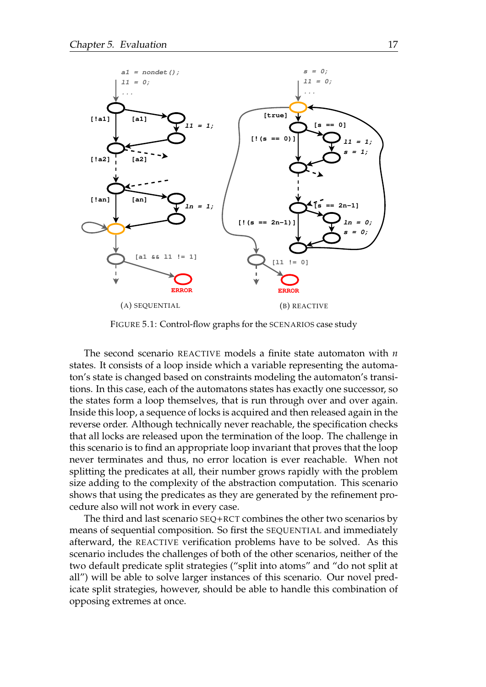<span id="page-23-0"></span>

FIGURE 5.1: Control-flow graphs for the SCENARIOS case study

The second scenario REACTIVE models a finite state automaton with *n* states. It consists of a loop inside which a variable representing the automaton's state is changed based on constraints modeling the automaton's transitions. In this case, each of the automatons states has exactly one successor, so the states form a loop themselves, that is run through over and over again. Inside this loop, a sequence of locks is acquired and then released again in the reverse order. Although technically never reachable, the specification checks that all locks are released upon the termination of the loop. The challenge in this scenario is to find an appropriate loop invariant that proves that the loop never terminates and thus, no error location is ever reachable. When not splitting the predicates at all, their number grows rapidly with the problem size adding to the complexity of the abstraction computation. This scenario shows that using the predicates as they are generated by the refinement procedure also will not work in every case.

The third and last scenario SEQ+RCT combines the other two scenarios by means of sequential composition. So first the SEQUENTIAL and immediately afterward, the REACTIVE verification problems have to be solved. As this scenario includes the challenges of both of the other scenarios, neither of the two default predicate split strategies ("split into atoms" and "do not split at all") will be able to solve larger instances of this scenario. Our novel predicate split strategies, however, should be able to handle this combination of opposing extremes at once.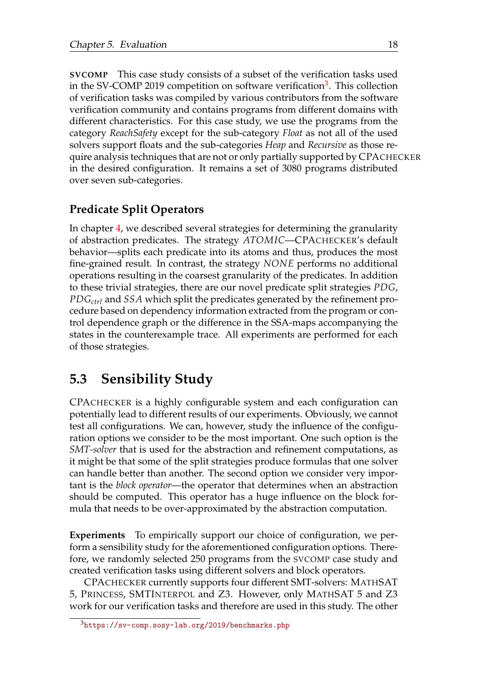**SVCOMP** This case study consists of a subset of the verification tasks used in the SV-COMP 2019 competition on software verification<sup>[3](#page-24-1)</sup>. This collection of verification tasks was compiled by various contributors from the software verification community and contains programs from different domains with different characteristics. For this case study, we use the programs from the category *ReachSafety* except for the sub-category *Float* as not all of the used solvers support floats and the sub-categories *Heap* and *Recursive* as those require analysis techniques that are not or only partially supported by CPACHECKER in the desired configuration. It remains a set of 3080 programs distributed over seven sub-categories.

### **Predicate Split Operators**

In chapter [4,](#page-17-0) we described several strategies for determining the granularity of abstraction predicates. The strategy *ATOMIC*—CPACHECKER's default behavior—splits each predicate into its atoms and thus, produces the most fine-grained result. In contrast, the strategy *NONE* performs no additional operations resulting in the coarsest granularity of the predicates. In addition to these trivial strategies, there are our novel predicate split strategies *PDG*, *PDGctrl* and *SSA* which split the predicates generated by the refinement procedure based on dependency information extracted from the program or control dependence graph or the difference in the SSA-maps accompanying the states in the counterexample trace. All experiments are performed for each of those strategies.

## <span id="page-24-0"></span>**5.3 Sensibility Study**

CPACHECKER is a highly configurable system and each configuration can potentially lead to different results of our experiments. Obviously, we cannot test all configurations. We can, however, study the influence of the configuration options we consider to be the most important. One such option is the *SMT-solver* that is used for the abstraction and refinement computations, as it might be that some of the split strategies produce formulas that one solver can handle better than another. The second option we consider very important is the *block operator*—the operator that determines when an abstraction should be computed. This operator has a huge influence on the block formula that needs to be over-approximated by the abstraction computation.

**Experiments** To empirically support our choice of configuration, we perform a sensibility study for the aforementioned configuration options. Therefore, we randomly selected 250 programs from the SVCOMP case study and created verification tasks using different solvers and block operators.

CPACHECKER currently supports four different SMT-solvers: MATHSAT 5, PRINCESS, SMTINTERPOL and Z3. However, only MATHSAT 5 and Z3 work for our verification tasks and therefore are used in this study. The other

<span id="page-24-1"></span><sup>3</sup><https://sv-comp.sosy-lab.org/2019/benchmarks.php>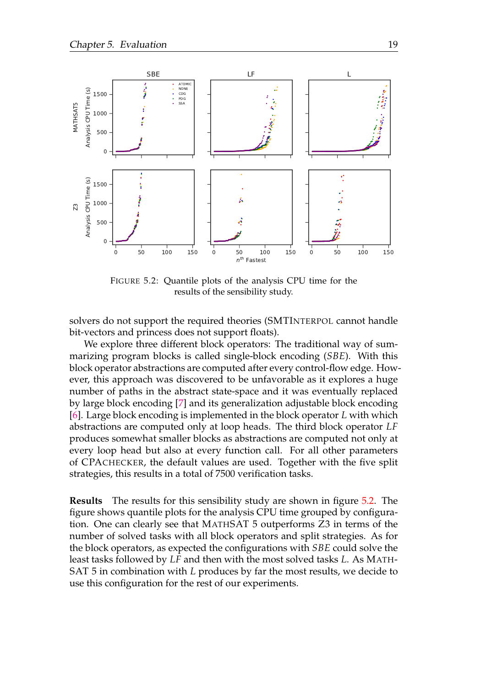<span id="page-25-0"></span>

FIGURE 5.2: Quantile plots of the analysis CPU time for the results of the sensibility study.

solvers do not support the required theories (SMTINTERPOL cannot handle bit-vectors and princess does not support floats).

We explore three different block operators: The traditional way of summarizing program blocks is called single-block encoding (*SBE*). With this block operator abstractions are computed after every control-flow edge. However, this approach was discovered to be unfavorable as it explores a huge number of paths in the abstract state-space and it was eventually replaced by large block encoding [\[7\]](#page-40-5) and its generalization adjustable block encoding [\[6\]](#page-40-6). Large block encoding is implemented in the block operator *L* with which abstractions are computed only at loop heads. The third block operator *LF* produces somewhat smaller blocks as abstractions are computed not only at every loop head but also at every function call. For all other parameters of CPACHECKER, the default values are used. Together with the five split strategies, this results in a total of 7500 verification tasks.

**Results** The results for this sensibility study are shown in figure [5.2.](#page-25-0) The figure shows quantile plots for the analysis CPU time grouped by configuration. One can clearly see that MATHSAT 5 outperforms Z3 in terms of the number of solved tasks with all block operators and split strategies. As for the block operators, as expected the configurations with *SBE* could solve the least tasks followed by *LF* and then with the most solved tasks *L*. As MATH-SAT 5 in combination with *L* produces by far the most results, we decide to use this configuration for the rest of our experiments.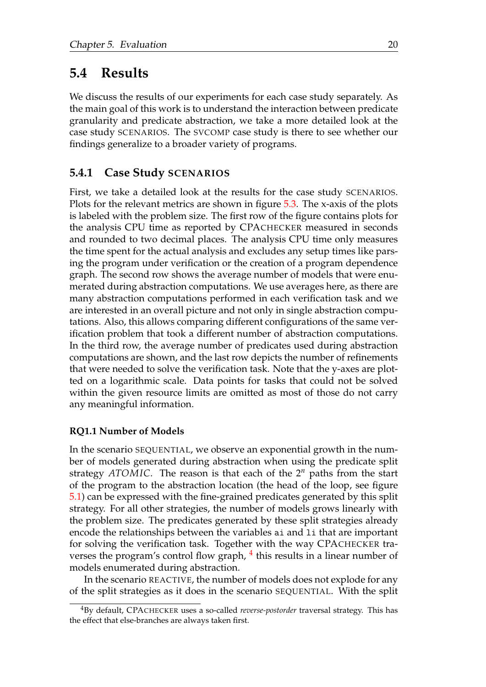### <span id="page-26-0"></span>**5.4 Results**

We discuss the results of our experiments for each case study separately. As the main goal of this work is to understand the interaction between predicate granularity and predicate abstraction, we take a more detailed look at the case study SCENARIOS. The SVCOMP case study is there to see whether our findings generalize to a broader variety of programs.

#### <span id="page-26-1"></span>**5.4.1 Case Study SCENARIOS**

First, we take a detailed look at the results for the case study SCENARIOS. Plots for the relevant metrics are shown in figure [5.3.](#page-27-0) The x-axis of the plots is labeled with the problem size. The first row of the figure contains plots for the analysis CPU time as reported by CPACHECKER measured in seconds and rounded to two decimal places. The analysis CPU time only measures the time spent for the actual analysis and excludes any setup times like parsing the program under verification or the creation of a program dependence graph. The second row shows the average number of models that were enumerated during abstraction computations. We use averages here, as there are many abstraction computations performed in each verification task and we are interested in an overall picture and not only in single abstraction computations. Also, this allows comparing different configurations of the same verification problem that took a different number of abstraction computations. In the third row, the average number of predicates used during abstraction computations are shown, and the last row depicts the number of refinements that were needed to solve the verification task. Note that the y-axes are plotted on a logarithmic scale. Data points for tasks that could not be solved within the given resource limits are omitted as most of those do not carry any meaningful information.

#### **RQ1.1 Number of Models**

In the scenario SEQUENTIAL, we observe an exponential growth in the number of models generated during abstraction when using the predicate split strategy *ATOMIC*. The reason is that each of the 2*<sup>n</sup>* paths from the start of the program to the abstraction location (the head of the loop, see figure [5.1\)](#page-23-0) can be expressed with the fine-grained predicates generated by this split strategy. For all other strategies, the number of models grows linearly with the problem size. The predicates generated by these split strategies already encode the relationships between the variables ai and li that are important for solving the verification task. Together with the way CPACHECKER tra-verses the program's control flow graph, <sup>[4](#page-26-2)</sup> this results in a linear number of models enumerated during abstraction.

In the scenario REACTIVE, the number of models does not explode for any of the split strategies as it does in the scenario SEQUENTIAL. With the split

<span id="page-26-2"></span><sup>4</sup>By default, CPACHECKER uses a so-called *reverse-postorder* traversal strategy. This has the effect that else-branches are always taken first.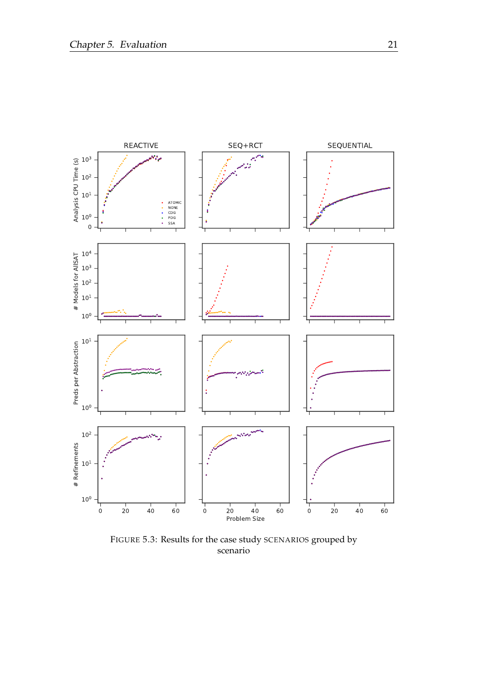<span id="page-27-0"></span>

FIGURE 5.3: Results for the case study SCENARIOS grouped by scenario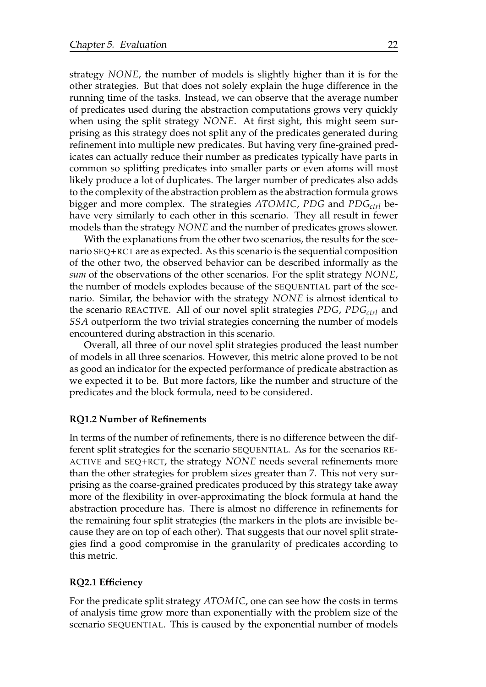strategy *NONE*, the number of models is slightly higher than it is for the other strategies. But that does not solely explain the huge difference in the running time of the tasks. Instead, we can observe that the average number of predicates used during the abstraction computations grows very quickly when using the split strategy *NONE*. At first sight, this might seem surprising as this strategy does not split any of the predicates generated during refinement into multiple new predicates. But having very fine-grained predicates can actually reduce their number as predicates typically have parts in common so splitting predicates into smaller parts or even atoms will most likely produce a lot of duplicates. The larger number of predicates also adds to the complexity of the abstraction problem as the abstraction formula grows bigger and more complex. The strategies *ATOMIC*, *PDG* and *PDGctrl* behave very similarly to each other in this scenario. They all result in fewer models than the strategy *NONE* and the number of predicates grows slower.

With the explanations from the other two scenarios, the results for the scenario SEQ+RCT are as expected. As this scenario is the sequential composition of the other two, the observed behavior can be described informally as the *sum* of the observations of the other scenarios. For the split strategy *NONE*, the number of models explodes because of the SEQUENTIAL part of the scenario. Similar, the behavior with the strategy *NONE* is almost identical to the scenario REACTIVE. All of our novel split strategies *PDG*, *PDGctrl* and *SSA* outperform the two trivial strategies concerning the number of models encountered during abstraction in this scenario.

Overall, all three of our novel split strategies produced the least number of models in all three scenarios. However, this metric alone proved to be not as good an indicator for the expected performance of predicate abstraction as we expected it to be. But more factors, like the number and structure of the predicates and the block formula, need to be considered.

#### **RQ1.2 Number of Refinements**

In terms of the number of refinements, there is no difference between the different split strategies for the scenario SEQUENTIAL. As for the scenarios RE-ACTIVE and SEQ+RCT, the strategy *NONE* needs several refinements more than the other strategies for problem sizes greater than 7. This not very surprising as the coarse-grained predicates produced by this strategy take away more of the flexibility in over-approximating the block formula at hand the abstraction procedure has. There is almost no difference in refinements for the remaining four split strategies (the markers in the plots are invisible because they are on top of each other). That suggests that our novel split strategies find a good compromise in the granularity of predicates according to this metric.

#### **RQ2.1 Efficiency**

For the predicate split strategy *ATOMIC*, one can see how the costs in terms of analysis time grow more than exponentially with the problem size of the scenario SEQUENTIAL. This is caused by the exponential number of models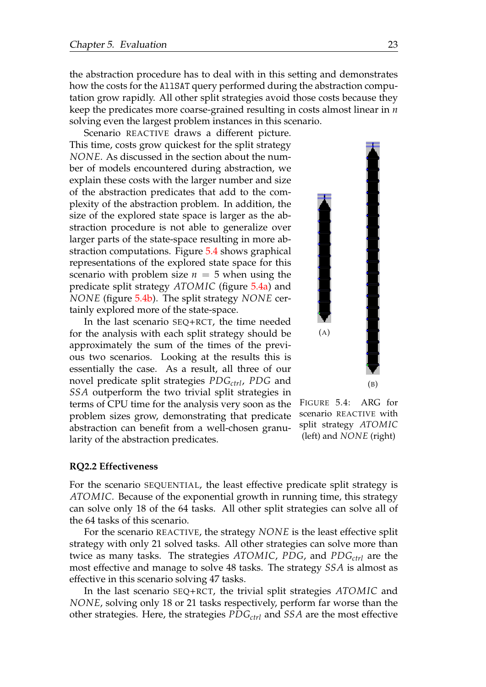the abstraction procedure has to deal with in this setting and demonstrates how the costs for the AllSAT query performed during the abstraction computation grow rapidly. All other split strategies avoid those costs because they keep the predicates more coarse-grained resulting in costs almost linear in *n* solving even the largest problem instances in this scenario.

Scenario REACTIVE draws a different picture. This time, costs grow quickest for the split strategy *NONE*. As discussed in the section about the number of models encountered during abstraction, we explain these costs with the larger number and size of the abstraction predicates that add to the complexity of the abstraction problem. In addition, the size of the explored state space is larger as the abstraction procedure is not able to generalize over larger parts of the state-space resulting in more abstraction computations. Figure [5.4](#page-29-0) shows graphical representations of the explored state space for this scenario with problem size  $n = 5$  when using the predicate split strategy *ATOMIC* (figure [5.4a\)](#page-29-0) and *NONE* (figure [5.4b\)](#page-29-0). The split strategy *NONE* certainly explored more of the state-space.

In the last scenario SEQ+RCT, the time needed for the analysis with each split strategy should be approximately the sum of the times of the previous two scenarios. Looking at the results this is essentially the case. As a result, all three of our novel predicate split strategies *PDGctrl*, *PDG* and *SSA* outperform the two trivial split strategies in terms of CPU time for the analysis very soon as the problem sizes grow, demonstrating that predicate abstraction can benefit from a well-chosen granularity of the abstraction predicates.

<span id="page-29-0"></span>

FIGURE 5.4: ARG for scenario REACTIVE with split strategy *ATOMIC* (left) and *NONE* (right)

#### **RQ2.2 Effectiveness**

For the scenario SEQUENTIAL, the least effective predicate split strategy is *ATOMIC*. Because of the exponential growth in running time, this strategy can solve only 18 of the 64 tasks. All other split strategies can solve all of the 64 tasks of this scenario.

For the scenario REACTIVE, the strategy *NONE* is the least effective split strategy with only 21 solved tasks. All other strategies can solve more than twice as many tasks. The strategies *ATOMIC*, *PDG*, and *PDGctrl* are the most effective and manage to solve 48 tasks. The strategy *SSA* is almost as effective in this scenario solving 47 tasks.

In the last scenario SEQ+RCT, the trivial split strategies *ATOMIC* and *NONE*, solving only 18 or 21 tasks respectively, perform far worse than the other strategies. Here, the strategies *PDGctrl* and *SSA* are the most effective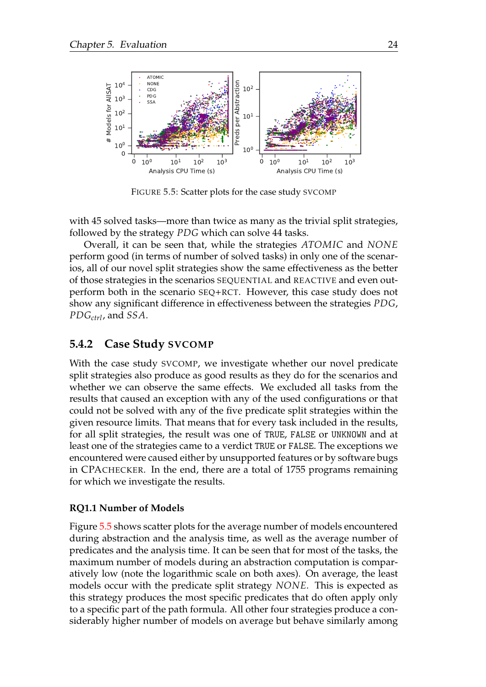<span id="page-30-1"></span>

FIGURE 5.5: Scatter plots for the case study SVCOMP

with 45 solved tasks—more than twice as many as the trivial split strategies, followed by the strategy *PDG* which can solve 44 tasks.

Overall, it can be seen that, while the strategies *ATOMIC* and *NONE* perform good (in terms of number of solved tasks) in only one of the scenarios, all of our novel split strategies show the same effectiveness as the better of those strategies in the scenarios SEQUENTIAL and REACTIVE and even outperform both in the scenario SEQ+RCT. However, this case study does not show any significant difference in effectiveness between the strategies *PDG*, *PDGctrl*, and *SSA*.

#### <span id="page-30-0"></span>**5.4.2 Case Study SVCOMP**

With the case study SVCOMP, we investigate whether our novel predicate split strategies also produce as good results as they do for the scenarios and whether we can observe the same effects. We excluded all tasks from the results that caused an exception with any of the used configurations or that could not be solved with any of the five predicate split strategies within the given resource limits. That means that for every task included in the results, for all split strategies, the result was one of TRUE, FALSE or UNKNOWN and at least one of the strategies came to a verdict TRUE or FALSE. The exceptions we encountered were caused either by unsupported features or by software bugs in CPACHECKER. In the end, there are a total of 1755 programs remaining for which we investigate the results.

#### **RQ1.1 Number of Models**

Figure [5.5](#page-30-1) shows scatter plots for the average number of models encountered during abstraction and the analysis time, as well as the average number of predicates and the analysis time. It can be seen that for most of the tasks, the maximum number of models during an abstraction computation is comparatively low (note the logarithmic scale on both axes). On average, the least models occur with the predicate split strategy *NONE*. This is expected as this strategy produces the most specific predicates that do often apply only to a specific part of the path formula. All other four strategies produce a considerably higher number of models on average but behave similarly among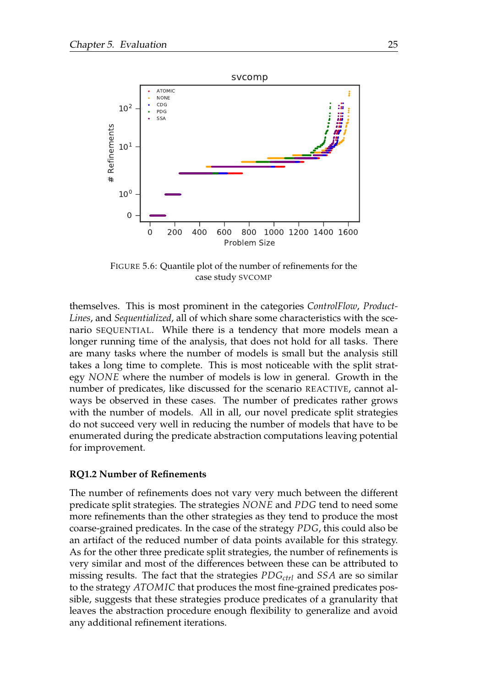<span id="page-31-0"></span>

FIGURE 5.6: Quantile plot of the number of refinements for the case study SVCOMP

themselves. This is most prominent in the categories *ControlFlow*, *Product-Lines*, and *Sequentialized*, all of which share some characteristics with the scenario SEQUENTIAL. While there is a tendency that more models mean a longer running time of the analysis, that does not hold for all tasks. There are many tasks where the number of models is small but the analysis still takes a long time to complete. This is most noticeable with the split strategy *NONE* where the number of models is low in general. Growth in the number of predicates, like discussed for the scenario REACTIVE, cannot always be observed in these cases. The number of predicates rather grows with the number of models. All in all, our novel predicate split strategies do not succeed very well in reducing the number of models that have to be enumerated during the predicate abstraction computations leaving potential for improvement.

#### **RQ1.2 Number of Refinements**

The number of refinements does not vary very much between the different predicate split strategies. The strategies *NONE* and *PDG* tend to need some more refinements than the other strategies as they tend to produce the most coarse-grained predicates. In the case of the strategy *PDG*, this could also be an artifact of the reduced number of data points available for this strategy. As for the other three predicate split strategies, the number of refinements is very similar and most of the differences between these can be attributed to missing results. The fact that the strategies *PDGctrl* and *SSA* are so similar to the strategy *ATOMIC* that produces the most fine-grained predicates possible, suggests that these strategies produce predicates of a granularity that leaves the abstraction procedure enough flexibility to generalize and avoid any additional refinement iterations.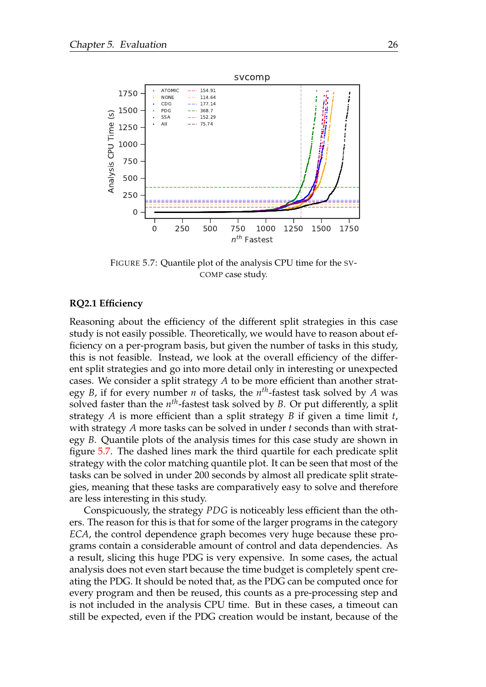<span id="page-32-0"></span>

FIGURE 5.7: Quantile plot of the analysis CPU time for the SV-COMP case study.

#### **RQ2.1 Efficiency**

Reasoning about the efficiency of the different split strategies in this case study is not easily possible. Theoretically, we would have to reason about efficiency on a per-program basis, but given the number of tasks in this study, this is not feasible. Instead, we look at the overall efficiency of the different split strategies and go into more detail only in interesting or unexpected cases. We consider a split strategy *A* to be more efficient than another strategy *B*, if for every number *n* of tasks, the *n th*-fastest task solved by *A* was solved faster than the *n th*-fastest task solved by *B*. Or put differently, a split strategy *A* is more efficient than a split strategy *B* if given a time limit *t*, with strategy *A* more tasks can be solved in under *t* seconds than with strategy *B*. Quantile plots of the analysis times for this case study are shown in figure [5.7.](#page-32-0) The dashed lines mark the third quartile for each predicate split strategy with the color matching quantile plot. It can be seen that most of the tasks can be solved in under 200 seconds by almost all predicate split strategies, meaning that these tasks are comparatively easy to solve and therefore are less interesting in this study.

Conspicuously, the strategy *PDG* is noticeably less efficient than the others. The reason for this is that for some of the larger programs in the category *ECA*, the control dependence graph becomes very huge because these programs contain a considerable amount of control and data dependencies. As a result, slicing this huge PDG is very expensive. In some cases, the actual analysis does not even start because the time budget is completely spent creating the PDG. It should be noted that, as the PDG can be computed once for every program and then be reused, this counts as a pre-processing step and is not included in the analysis CPU time. But in these cases, a timeout can still be expected, even if the PDG creation would be instant, because of the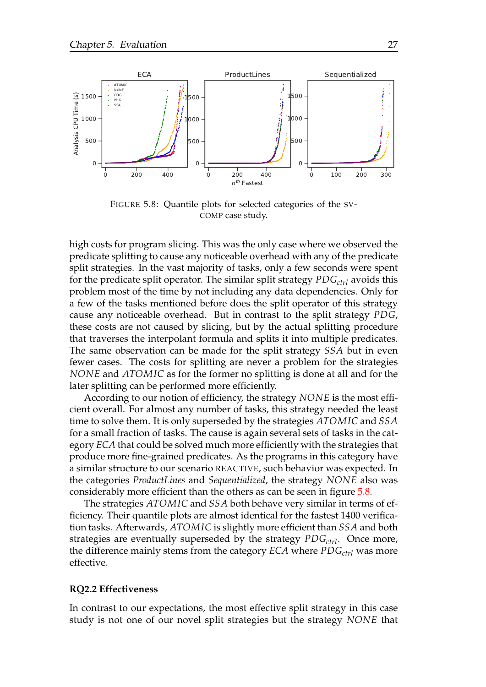<span id="page-33-0"></span>

FIGURE 5.8: Quantile plots for selected categories of the SV-COMP case study.

high costs for program slicing. This was the only case where we observed the predicate splitting to cause any noticeable overhead with any of the predicate split strategies. In the vast majority of tasks, only a few seconds were spent for the predicate split operator. The similar split strategy *PDGctrl* avoids this problem most of the time by not including any data dependencies. Only for a few of the tasks mentioned before does the split operator of this strategy cause any noticeable overhead. But in contrast to the split strategy *PDG*, these costs are not caused by slicing, but by the actual splitting procedure that traverses the interpolant formula and splits it into multiple predicates. The same observation can be made for the split strategy *SSA* but in even fewer cases. The costs for splitting are never a problem for the strategies *NONE* and *ATOMIC* as for the former no splitting is done at all and for the later splitting can be performed more efficiently.

According to our notion of efficiency, the strategy *NONE* is the most efficient overall. For almost any number of tasks, this strategy needed the least time to solve them. It is only superseded by the strategies *ATOMIC* and *SSA* for a small fraction of tasks. The cause is again several sets of tasks in the category *ECA* that could be solved much more efficiently with the strategies that produce more fine-grained predicates. As the programs in this category have a similar structure to our scenario REACTIVE, such behavior was expected. In the categories *ProductLines* and *Sequentialized*, the strategy *NONE* also was considerably more efficient than the others as can be seen in figure [5.8.](#page-33-0)

The strategies *ATOMIC* and *SSA* both behave very similar in terms of efficiency. Their quantile plots are almost identical for the fastest 1400 verification tasks. Afterwards, *ATOMIC* is slightly more efficient than *SSA* and both strategies are eventually superseded by the strategy *PDGctrl*. Once more, the difference mainly stems from the category *ECA* where *PDGctrl* was more effective.

#### **RQ2.2 Effectiveness**

In contrast to our expectations, the most effective split strategy in this case study is not one of our novel split strategies but the strategy *NONE* that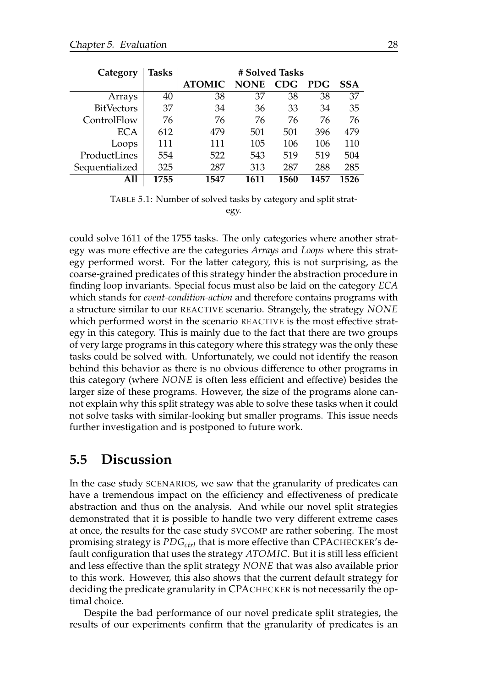<span id="page-34-1"></span>

| Category          | <b>Tasks</b> | # Solved Tasks |             |            |            |            |
|-------------------|--------------|----------------|-------------|------------|------------|------------|
|                   |              | <b>ATOMIC</b>  | <b>NONE</b> | <b>CDG</b> | <b>PDG</b> | <b>SSA</b> |
| Arrays            | 40           | 38             | 37          | 38         | 38         | 37         |
| <b>BitVectors</b> | 37           | 34             | 36          | 33         | 34         | 35         |
| ControlFlow       | 76           | 76             | 76          | 76         | 76         | 76         |
| <b>ECA</b>        | 612          | 479            | 501         | 501        | 396        | 479        |
| Loops             | 111          | 111            | 105         | 106        | 106        | 110        |
| ProductLines      | 554          | 522            | 543         | 519        | 519        | 504        |
| Sequentialized    | 325          | 287            | 313         | 287        | 288        | 285        |
| A11               | 1755         | 1547           | 1611        | 1560       | 1457       | 1526       |

TABLE 5.1: Number of solved tasks by category and split strategy.

could solve 1611 of the 1755 tasks. The only categories where another strategy was more effective are the categories *Arrays* and *Loops* where this strategy performed worst. For the latter category, this is not surprising, as the coarse-grained predicates of this strategy hinder the abstraction procedure in finding loop invariants. Special focus must also be laid on the category *ECA* which stands for *event-condition-action* and therefore contains programs with a structure similar to our REACTIVE scenario. Strangely, the strategy *NONE* which performed worst in the scenario REACTIVE is the most effective strategy in this category. This is mainly due to the fact that there are two groups of very large programs in this category where this strategy was the only these tasks could be solved with. Unfortunately, we could not identify the reason behind this behavior as there is no obvious difference to other programs in this category (where *NONE* is often less efficient and effective) besides the larger size of these programs. However, the size of the programs alone cannot explain why this split strategy was able to solve these tasks when it could not solve tasks with similar-looking but smaller programs. This issue needs further investigation and is postponed to future work.

#### <span id="page-34-0"></span>**5.5 Discussion**

In the case study SCENARIOS, we saw that the granularity of predicates can have a tremendous impact on the efficiency and effectiveness of predicate abstraction and thus on the analysis. And while our novel split strategies demonstrated that it is possible to handle two very different extreme cases at once, the results for the case study SVCOMP are rather sobering. The most promising strategy is *PDGctrl* that is more effective than CPACHECKER's default configuration that uses the strategy *ATOMIC*. But it is still less efficient and less effective than the split strategy *NONE* that was also available prior to this work. However, this also shows that the current default strategy for deciding the predicate granularity in CPACHECKER is not necessarily the optimal choice.

Despite the bad performance of our novel predicate split strategies, the results of our experiments confirm that the granularity of predicates is an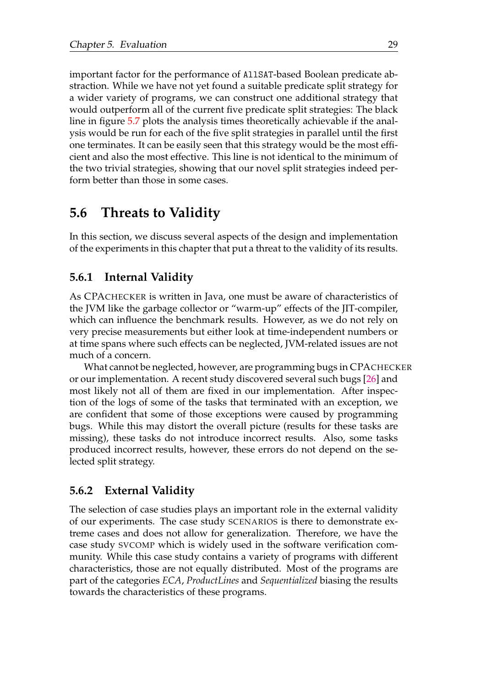important factor for the performance of AllSAT-based Boolean predicate abstraction. While we have not yet found a suitable predicate split strategy for a wider variety of programs, we can construct one additional strategy that would outperform all of the current five predicate split strategies: The black line in figure [5.7](#page-32-0) plots the analysis times theoretically achievable if the analysis would be run for each of the five split strategies in parallel until the first one terminates. It can be easily seen that this strategy would be the most efficient and also the most effective. This line is not identical to the minimum of the two trivial strategies, showing that our novel split strategies indeed perform better than those in some cases.

### <span id="page-35-0"></span>**5.6 Threats to Validity**

In this section, we discuss several aspects of the design and implementation of the experiments in this chapter that put a threat to the validity of its results.

#### <span id="page-35-1"></span>**5.6.1 Internal Validity**

As CPACHECKER is written in Java, one must be aware of characteristics of the JVM like the garbage collector or "warm-up" effects of the JIT-compiler, which can influence the benchmark results. However, as we do not rely on very precise measurements but either look at time-independent numbers or at time spans where such effects can be neglected, JVM-related issues are not much of a concern.

What cannot be neglected, however, are programming bugs in CPACHECKER or our implementation. A recent study discovered several such bugs [\[26\]](#page-42-7) and most likely not all of them are fixed in our implementation. After inspection of the logs of some of the tasks that terminated with an exception, we are confident that some of those exceptions were caused by programming bugs. While this may distort the overall picture (results for these tasks are missing), these tasks do not introduce incorrect results. Also, some tasks produced incorrect results, however, these errors do not depend on the selected split strategy.

#### <span id="page-35-2"></span>**5.6.2 External Validity**

The selection of case studies plays an important role in the external validity of our experiments. The case study SCENARIOS is there to demonstrate extreme cases and does not allow for generalization. Therefore, we have the case study SVCOMP which is widely used in the software verification community. While this case study contains a variety of programs with different characteristics, those are not equally distributed. Most of the programs are part of the categories *ECA*, *ProductLines* and *Sequentialized* biasing the results towards the characteristics of these programs.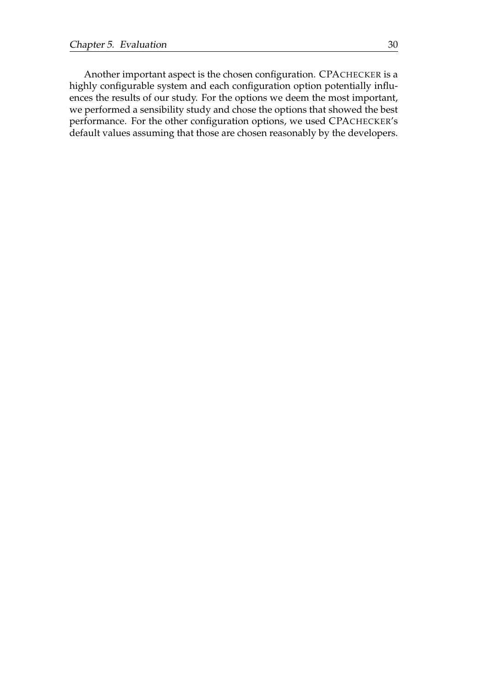Another important aspect is the chosen configuration. CPACHECKER is a highly configurable system and each configuration option potentially influences the results of our study. For the options we deem the most important, we performed a sensibility study and chose the options that showed the best performance. For the other configuration options, we used CPACHECKER's default values assuming that those are chosen reasonably by the developers.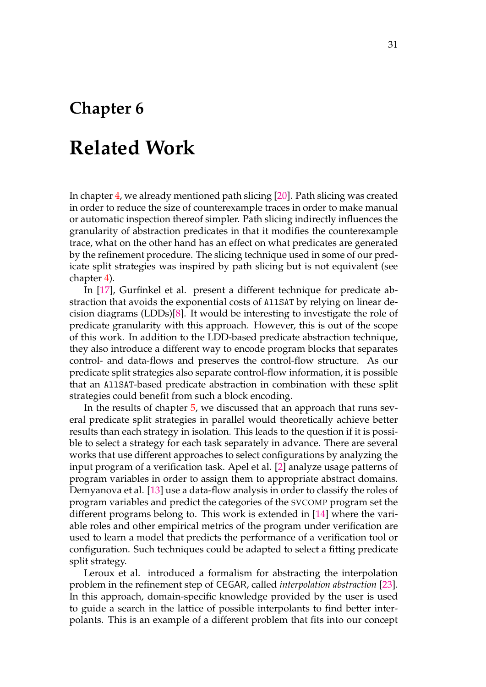## <span id="page-37-0"></span>**Chapter 6**

## **Related Work**

In chapter [4,](#page-17-0) we already mentioned path slicing [\[20\]](#page-42-5). Path slicing was created in order to reduce the size of counterexample traces in order to make manual or automatic inspection thereof simpler. Path slicing indirectly influences the granularity of abstraction predicates in that it modifies the counterexample trace, what on the other hand has an effect on what predicates are generated by the refinement procedure. The slicing technique used in some of our predicate split strategies was inspired by path slicing but is not equivalent (see chapter [4\)](#page-17-0).

In [\[17\]](#page-41-2), Gurfinkel et al. present a different technique for predicate abstraction that avoids the exponential costs of AllSAT by relying on linear decision diagrams (LDDs)[\[8\]](#page-41-7). It would be interesting to investigate the role of predicate granularity with this approach. However, this is out of the scope of this work. In addition to the LDD-based predicate abstraction technique, they also introduce a different way to encode program blocks that separates control- and data-flows and preserves the control-flow structure. As our predicate split strategies also separate control-flow information, it is possible that an AllSAT-based predicate abstraction in combination with these split strategies could benefit from such a block encoding.

In the results of chapter [5,](#page-20-0) we discussed that an approach that runs several predicate split strategies in parallel would theoretically achieve better results than each strategy in isolation. This leads to the question if it is possible to select a strategy for each task separately in advance. There are several works that use different approaches to select configurations by analyzing the input program of a verification task. Apel et al. [\[2\]](#page-40-7) analyze usage patterns of program variables in order to assign them to appropriate abstract domains. Demyanova et al. [\[13\]](#page-41-8) use a data-flow analysis in order to classify the roles of program variables and predict the categories of the SVCOMP program set the different programs belong to. This work is extended in [\[14\]](#page-41-9) where the variable roles and other empirical metrics of the program under verification are used to learn a model that predicts the performance of a verification tool or configuration. Such techniques could be adapted to select a fitting predicate split strategy.

Leroux et al. introduced a formalism for abstracting the interpolation problem in the refinement step of CEGAR, called *interpolation abstraction* [\[23\]](#page-42-8). In this approach, domain-specific knowledge provided by the user is used to guide a search in the lattice of possible interpolants to find better interpolants. This is an example of a different problem that fits into our concept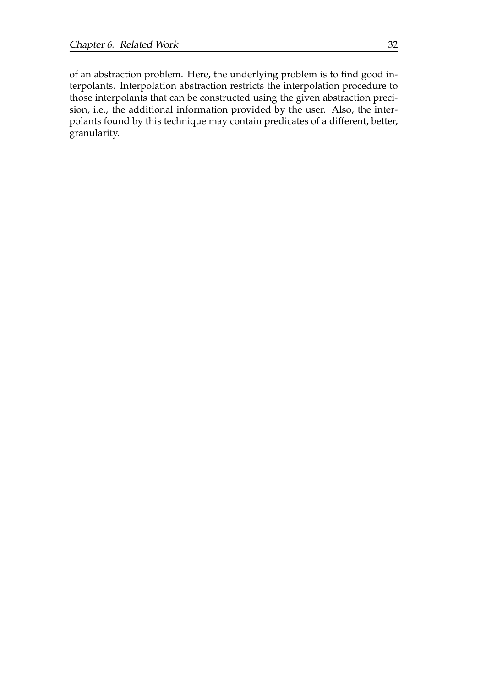of an abstraction problem. Here, the underlying problem is to find good interpolants. Interpolation abstraction restricts the interpolation procedure to those interpolants that can be constructed using the given abstraction precision, i.e., the additional information provided by the user. Also, the interpolants found by this technique may contain predicates of a different, better, granularity.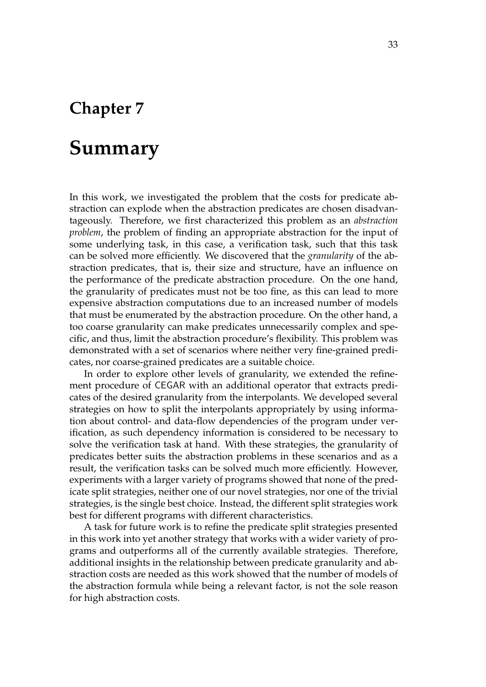## <span id="page-39-0"></span>**Chapter 7**

## **Summary**

In this work, we investigated the problem that the costs for predicate abstraction can explode when the abstraction predicates are chosen disadvantageously. Therefore, we first characterized this problem as an *abstraction problem*, the problem of finding an appropriate abstraction for the input of some underlying task, in this case, a verification task, such that this task can be solved more efficiently. We discovered that the *granularity* of the abstraction predicates, that is, their size and structure, have an influence on the performance of the predicate abstraction procedure. On the one hand, the granularity of predicates must not be too fine, as this can lead to more expensive abstraction computations due to an increased number of models that must be enumerated by the abstraction procedure. On the other hand, a too coarse granularity can make predicates unnecessarily complex and specific, and thus, limit the abstraction procedure's flexibility. This problem was demonstrated with a set of scenarios where neither very fine-grained predicates, nor coarse-grained predicates are a suitable choice.

In order to explore other levels of granularity, we extended the refinement procedure of CEGAR with an additional operator that extracts predicates of the desired granularity from the interpolants. We developed several strategies on how to split the interpolants appropriately by using information about control- and data-flow dependencies of the program under verification, as such dependency information is considered to be necessary to solve the verification task at hand. With these strategies, the granularity of predicates better suits the abstraction problems in these scenarios and as a result, the verification tasks can be solved much more efficiently. However, experiments with a larger variety of programs showed that none of the predicate split strategies, neither one of our novel strategies, nor one of the trivial strategies, is the single best choice. Instead, the different split strategies work best for different programs with different characteristics.

A task for future work is to refine the predicate split strategies presented in this work into yet another strategy that works with a wider variety of programs and outperforms all of the currently available strategies. Therefore, additional insights in the relationship between predicate granularity and abstraction costs are needed as this work showed that the number of models of the abstraction formula while being a relevant factor, is not the sole reason for high abstraction costs.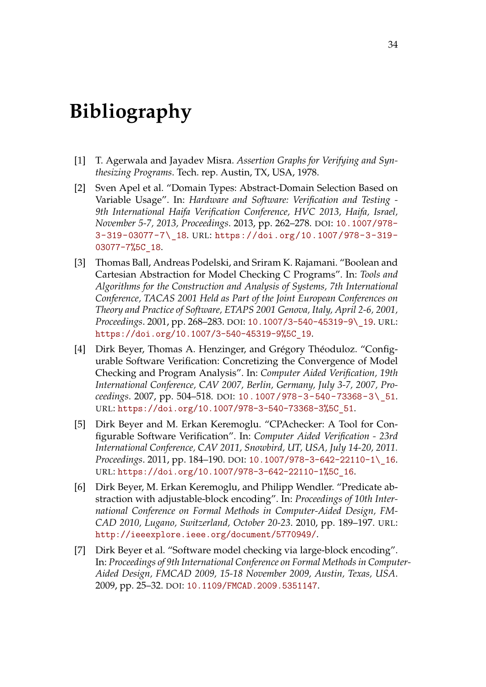## <span id="page-40-0"></span>**Bibliography**

- <span id="page-40-1"></span>[1] T. Agerwala and Jayadev Misra. *Assertion Graphs for Verifying and Synthesizing Programs*. Tech. rep. Austin, TX, USA, 1978.
- <span id="page-40-7"></span>[2] Sven Apel et al. "Domain Types: Abstract-Domain Selection Based on Variable Usage". In: *Hardware and Software: Verification and Testing - 9th International Haifa Verification Conference, HVC 2013, Haifa, Israel, November 5-7, 2013, Proceedings*. 2013, pp. 262–278. DOI: [10.1007/978-](https://doi.org/10.1007/978-3-319-03077-7\_18) [3-319-03077-7\\\_18](https://doi.org/10.1007/978-3-319-03077-7\_18). URL: [https://doi.org/10.1007/978-3-319-](https://doi.org/10.1007/978-3-319-03077-7%5C_18) [03077-7%5C\\_18](https://doi.org/10.1007/978-3-319-03077-7%5C_18).
- <span id="page-40-2"></span>[3] Thomas Ball, Andreas Podelski, and Sriram K. Rajamani. "Boolean and Cartesian Abstraction for Model Checking C Programs". In: *Tools and Algorithms for the Construction and Analysis of Systems, 7th International Conference, TACAS 2001 Held as Part of the Joint European Conferences on Theory and Practice of Software, ETAPS 2001 Genova, Italy, April 2-6, 2001, Proceedings*. 2001, pp. 268–283. DOI: [10.1007/3-540-45319-9\\\_19](https://doi.org/10.1007/3-540-45319-9\_19). URL: [https://doi.org/10.1007/3-540-45319-9%5C\\_19](https://doi.org/10.1007/3-540-45319-9%5C_19).
- <span id="page-40-3"></span>[4] Dirk Beyer, Thomas A. Henzinger, and Grégory Théoduloz. "Configurable Software Verification: Concretizing the Convergence of Model Checking and Program Analysis". In: *Computer Aided Verification, 19th International Conference, CAV 2007, Berlin, Germany, July 3-7, 2007, Proceedings*. 2007, pp. 504–518. DOI: [10.1007/978-3-540-73368-3\\\_51](https://doi.org/10.1007/978-3-540-73368-3\_51). URL: [https://doi.org/10.1007/978-3-540-73368-3%5C\\_51](https://doi.org/10.1007/978-3-540-73368-3%5C_51).
- <span id="page-40-4"></span>[5] Dirk Beyer and M. Erkan Keremoglu. "CPAchecker: A Tool for Configurable Software Verification". In: *Computer Aided Verification - 23rd International Conference, CAV 2011, Snowbird, UT, USA, July 14-20, 2011. Proceedings*. 2011, pp. 184–190. DOI: [10.1007/978-3-642-22110-1\\\_16](https://doi.org/10.1007/978-3-642-22110-1\_16). URL: [https://doi.org/10.1007/978-3-642-22110-1%5C\\_16](https://doi.org/10.1007/978-3-642-22110-1%5C_16).
- <span id="page-40-6"></span>[6] Dirk Beyer, M. Erkan Keremoglu, and Philipp Wendler. "Predicate abstraction with adjustable-block encoding". In: *Proceedings of 10th International Conference on Formal Methods in Computer-Aided Design, FM-CAD 2010, Lugano, Switzerland, October 20-23*. 2010, pp. 189–197. URL: <http://ieeexplore.ieee.org/document/5770949/>.
- <span id="page-40-5"></span>[7] Dirk Beyer et al. "Software model checking via large-block encoding". In: *Proceedings of 9th International Conference on Formal Methods in Computer-Aided Design, FMCAD 2009, 15-18 November 2009, Austin, Texas, USA*. 2009, pp. 25–32. DOI: [10.1109/FMCAD.2009.5351147](https://doi.org/10.1109/FMCAD.2009.5351147).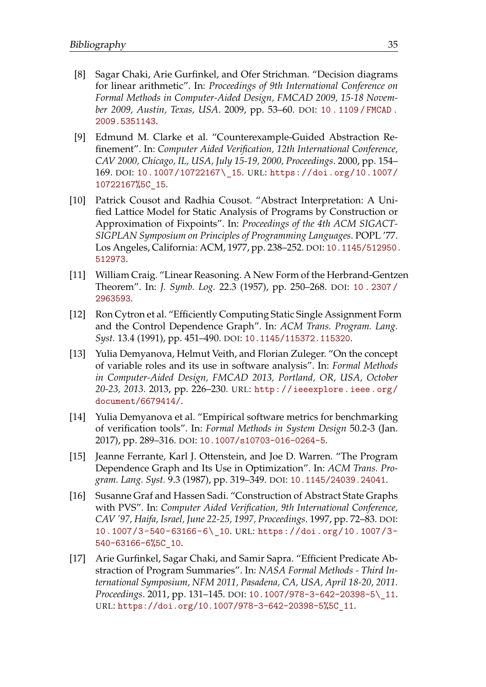- <span id="page-41-7"></span>[8] Sagar Chaki, Arie Gurfinkel, and Ofer Strichman. "Decision diagrams for linear arithmetic". In: *Proceedings of 9th International Conference on Formal Methods in Computer-Aided Design, FMCAD 2009, 15-18 November 2009, Austin, Texas, USA*. 2009, pp. 53–60. DOI: [10 . 1109 / FMCAD .](https://doi.org/10.1109/FMCAD.2009.5351143) [2009.5351143](https://doi.org/10.1109/FMCAD.2009.5351143).
- <span id="page-41-4"></span>[9] Edmund M. Clarke et al. "Counterexample-Guided Abstraction Refinement". In: *Computer Aided Verification, 12th International Conference, CAV 2000, Chicago, IL, USA, July 15-19, 2000, Proceedings*. 2000, pp. 154– 169. DOI: [10.1007/10722167\\\_15](https://doi.org/10.1007/10722167\_15). URL: [https://doi.org/10.1007/](https://doi.org/10.1007/10722167%5C_15) [10722167%5C\\_15](https://doi.org/10.1007/10722167%5C_15).
- <span id="page-41-0"></span>[10] Patrick Cousot and Radhia Cousot. "Abstract Interpretation: A Unified Lattice Model for Static Analysis of Programs by Construction or Approximation of Fixpoints". In: *Proceedings of the 4th ACM SIGACT-SIGPLAN Symposium on Principles of Programming Languages*. POPL '77. Los Angeles, California: ACM, 1977, pp. 238–252. DOI: [10.1145/512950.](https://doi.org/10.1145/512950.512973) [512973](https://doi.org/10.1145/512950.512973).
- <span id="page-41-5"></span>[11] William Craig. "Linear Reasoning. A New Form of the Herbrand-Gentzen Theorem". In: *J. Symb. Log.* 22.3 (1957), pp. 250–268. DOI: [10 . 2307 /](https://doi.org/10.2307/2963593) [2963593](https://doi.org/10.2307/2963593).
- <span id="page-41-3"></span>[12] Ron Cytron et al. "Efficiently Computing Static Single Assignment Form and the Control Dependence Graph". In: *ACM Trans. Program. Lang. Syst.* 13.4 (1991), pp. 451–490. DOI: [10.1145/115372.115320](https://doi.org/10.1145/115372.115320).
- <span id="page-41-8"></span>[13] Yulia Demyanova, Helmut Veith, and Florian Zuleger. "On the concept of variable roles and its use in software analysis". In: *Formal Methods in Computer-Aided Design, FMCAD 2013, Portland, OR, USA, October 20-23, 2013*. 2013, pp. 226–230. URL: [http://ieeexplore.ieee.org/](http://ieeexplore.ieee.org/document/6679414/) [document/6679414/](http://ieeexplore.ieee.org/document/6679414/).
- <span id="page-41-9"></span>[14] Yulia Demyanova et al. "Empirical software metrics for benchmarking of verification tools". In: *Formal Methods in System Design* 50.2-3 (Jan. 2017), pp. 289–316. DOI: [10.1007/s10703-016-0264-5](https://doi.org/10.1007/s10703-016-0264-5).
- <span id="page-41-6"></span>[15] Jeanne Ferrante, Karl J. Ottenstein, and Joe D. Warren. "The Program Dependence Graph and Its Use in Optimization". In: *ACM Trans. Program. Lang. Syst.* 9.3 (1987), pp. 319–349. DOI: [10.1145/24039.24041](https://doi.org/10.1145/24039.24041).
- <span id="page-41-1"></span>[16] Susanne Graf and Hassen Sadi. "Construction of Abstract State Graphs with PVS". In: *Computer Aided Verification, 9th International Conference, CAV '97, Haifa, Israel, June 22-25, 1997, Proceedings*. 1997, pp. 72–83. DOI: [10.1007/3-540-63166-6\\\_10](https://doi.org/10.1007/3-540-63166-6\_10). URL: [https://doi.org/10.1007/3-](https://doi.org/10.1007/3-540-63166-6%5C_10) [540-63166-6%5C\\_10](https://doi.org/10.1007/3-540-63166-6%5C_10).
- <span id="page-41-2"></span>[17] Arie Gurfinkel, Sagar Chaki, and Samir Sapra. "Efficient Predicate Abstraction of Program Summaries". In: *NASA Formal Methods - Third International Symposium, NFM 2011, Pasadena, CA, USA, April 18-20, 2011. Proceedings*. 2011, pp. 131–145. DOI: [10.1007/978-3-642-20398-5\\\_11](https://doi.org/10.1007/978-3-642-20398-5\_11). URL: [https://doi.org/10.1007/978-3-642-20398-5%5C\\_11](https://doi.org/10.1007/978-3-642-20398-5%5C_11).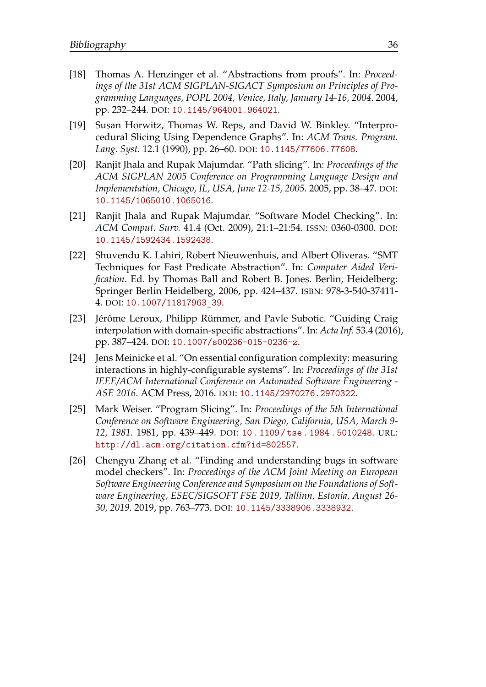- <span id="page-42-2"></span>[18] Thomas A. Henzinger et al. "Abstractions from proofs". In: *Proceedings of the 31st ACM SIGPLAN-SIGACT Symposium on Principles of Programming Languages, POPL 2004, Venice, Italy, January 14-16, 2004*. 2004, pp. 232–244. DOI: [10.1145/964001.964021](https://doi.org/10.1145/964001.964021).
- <span id="page-42-4"></span>[19] Susan Horwitz, Thomas W. Reps, and David W. Binkley. "Interprocedural Slicing Using Dependence Graphs". In: *ACM Trans. Program. Lang. Syst.* 12.1 (1990), pp. 26–60. DOI: [10.1145/77606.77608](https://doi.org/10.1145/77606.77608).
- <span id="page-42-5"></span>[20] Ranjit Jhala and Rupak Majumdar. "Path slicing". In: *Proceedings of the ACM SIGPLAN 2005 Conference on Programming Language Design and Implementation, Chicago, IL, USA, June 12-15, 2005*. 2005, pp. 38–47. DOI: [10.1145/1065010.1065016](https://doi.org/10.1145/1065010.1065016).
- <span id="page-42-0"></span>[21] Ranjit Jhala and Rupak Majumdar. "Software Model Checking". In: *ACM Comput. Surv.* 41.4 (Oct. 2009), 21:1–21:54. ISSN: 0360-0300. DOI: [10.1145/1592434.1592438](https://doi.org/10.1145/1592434.1592438).
- <span id="page-42-1"></span>[22] Shuvendu K. Lahiri, Robert Nieuwenhuis, and Albert Oliveras. "SMT Techniques for Fast Predicate Abstraction". In: *Computer Aided Verification*. Ed. by Thomas Ball and Robert B. Jones. Berlin, Heidelberg: Springer Berlin Heidelberg, 2006, pp. 424–437. ISBN: 978-3-540-37411- 4. DOI: [10.1007/11817963\\_39](https://doi.org/10.1007/11817963_39).
- <span id="page-42-8"></span>[23] Jérôme Leroux, Philipp Rümmer, and Pavle Subotic. "Guiding Craig interpolation with domain-specific abstractions". In: *Acta Inf.* 53.4 (2016), pp. 387–424. DOI: [10.1007/s00236-015-0236-z](https://doi.org/10.1007/s00236-015-0236-z).
- <span id="page-42-6"></span>[24] Jens Meinicke et al. "On essential configuration complexity: measuring interactions in highly-configurable systems". In: *Proceedings of the 31st IEEE/ACM International Conference on Automated Software Engineering - ASE 2016*. ACM Press, 2016. DOI: [10.1145/2970276.2970322](https://doi.org/10.1145/2970276.2970322).
- <span id="page-42-3"></span>[25] Mark Weiser. "Program Slicing". In: *Proceedings of the 5th International Conference on Software Engineering, San Diego, California, USA, March 9- 12, 1981.* 1981, pp. 439–449. DOI: [10 . 1109 / tse . 1984 . 5010248](https://doi.org/10.1109/tse.1984.5010248). URL: <http://dl.acm.org/citation.cfm?id=802557>.
- <span id="page-42-7"></span>[26] Chengyu Zhang et al. "Finding and understanding bugs in software model checkers". In: *Proceedings of the ACM Joint Meeting on European Software Engineering Conference and Symposium on the Foundations of Software Engineering, ESEC/SIGSOFT FSE 2019, Tallinn, Estonia, August 26- 30, 2019.* 2019, pp. 763–773. DOI: [10.1145/3338906.3338932](https://doi.org/10.1145/3338906.3338932).